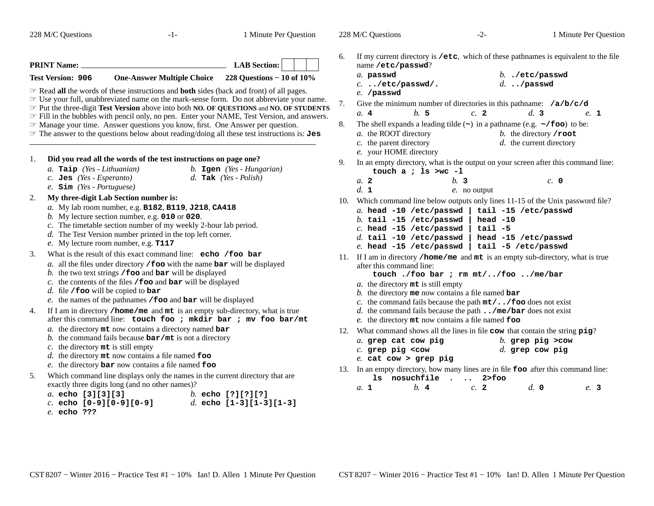| 228 M/C Questions                                                                                                                                                                                                                                                                                                                                                                                                                                      | $-1-$                                                                                                                                                                                                                                                                                                                                                                                                                                                                                                                                                                                                                                                                                                                                                                                                                                                                                                                                                                                                                                                                                                      | 1 Minute Per Question                                                                                                                                                                                                                                                                                                                                                                                                                          |                  | 228 M/C Questions                                                                                                                                                                                                                                                                                                                                                                                                                                                                                                                                                                                                                                                                                                                                                                                                                                                                                                                                                                                                                                                                                   | $-2-$                                                  |                                                                                                                                                                                            | 1 Minute Per Question |
|--------------------------------------------------------------------------------------------------------------------------------------------------------------------------------------------------------------------------------------------------------------------------------------------------------------------------------------------------------------------------------------------------------------------------------------------------------|------------------------------------------------------------------------------------------------------------------------------------------------------------------------------------------------------------------------------------------------------------------------------------------------------------------------------------------------------------------------------------------------------------------------------------------------------------------------------------------------------------------------------------------------------------------------------------------------------------------------------------------------------------------------------------------------------------------------------------------------------------------------------------------------------------------------------------------------------------------------------------------------------------------------------------------------------------------------------------------------------------------------------------------------------------------------------------------------------------|------------------------------------------------------------------------------------------------------------------------------------------------------------------------------------------------------------------------------------------------------------------------------------------------------------------------------------------------------------------------------------------------------------------------------------------------|------------------|-----------------------------------------------------------------------------------------------------------------------------------------------------------------------------------------------------------------------------------------------------------------------------------------------------------------------------------------------------------------------------------------------------------------------------------------------------------------------------------------------------------------------------------------------------------------------------------------------------------------------------------------------------------------------------------------------------------------------------------------------------------------------------------------------------------------------------------------------------------------------------------------------------------------------------------------------------------------------------------------------------------------------------------------------------------------------------------------------------|--------------------------------------------------------|--------------------------------------------------------------------------------------------------------------------------------------------------------------------------------------------|-----------------------|
| <b>PRINT Name:</b><br><b>Test Version: 906</b><br><b>Example 3</b> Read all the words of these instructions and both sides (back and front) of all pages.<br><b>Example 7</b> Manage your time. Answer questions you know, first. One Answer per question.                                                                                                                                                                                             | <b>One-Answer Multiple Choice</b>                                                                                                                                                                                                                                                                                                                                                                                                                                                                                                                                                                                                                                                                                                                                                                                                                                                                                                                                                                                                                                                                          | <b>LAB</b> Section:<br>228 Questions $-10$ of $10\%$<br>The your full, unabbreviated name on the mark-sense form. Do not abbreviate your name.<br>Fut the three-digit Test Version above into both NO. OF QUESTIONS and NO. OF STUDENTS<br>Fill in the bubbles with pencil only, no pen. Enter your NAME, Test Version, and answers.<br>$\mathcal F$ The answer to the questions below about reading/doing all these test instructions is: Jes | 6.<br>7.<br>8.   | If my current directory is /etc, which of these pathnames is equivalent to the file<br>name /etc/passwd?<br>a. passwd<br>$c.$ /etc/passwd/.<br>e. /passwd<br>Give the minimum number of directories in this pathname: $/a/b/c/d$<br>b. 5<br>a.4<br>The shell expands a leading tilde $(\sim)$ in a pathname (e.g. $\sim$ /foo) to be:<br>a. the ROOT directory<br>$c$ . the parent directory                                                                                                                                                                                                                                                                                                                                                                                                                                                                                                                                                                                                                                                                                                        | c. 2                                                   | $b.$ ./etc/passwd<br>$d.$ /passwd<br>d.3<br>b. the directory $\prime$ root<br>d. the current directory                                                                                     | e. 1                  |
| 1.<br>a. Taip (Yes - Lithuanian)<br>$c.$ Jes (Yes - Esperanto)<br>$e.$ Sim (Yes - Portuguese)<br>My three-digit Lab Section number is:<br>2.<br>b. My lecture section number, e.g. $010$ or $020$ .<br>e. My lecture room number, e.g. T117<br>3.<br>$d.$ file / foo will be copied to bar<br>4.<br>c. the directory $m$ t is still empty<br>5.<br>exactly three digits long (and no other names)?<br>a. echo [3][3][3]<br>$c.$ echo $[0-9][0-9][0-9]$ | Did you read all the words of the test instructions on page one?<br>a. My lab room number, e.g. B182, B119, J218, CA418<br>c. The timetable section number of my weekly 2-hour lab period.<br>d. The Test Version number printed in the top left corner.<br>What is the result of this exact command line: echo /foo bar<br>$a$ . all the files under directory / foo with the name bar will be displayed<br>b. the two text strings $/$ foo and bar will be displayed<br>c. the contents of the files $/$ foo and bar will be displayed<br>e. the names of the pathnames /foo and bar will be displayed<br>If I am in directory /home/me and mt is an empty sub-directory, what is true<br>after this command line: touch foo ; mkdir bar ; mv foo bar/mt<br>$a$ . the directory $m$ t now contains a directory named bar<br>b. the command fails because $bar/mt$ is not a directory<br>$d.$ the directory $m$ t now contains a file named foo<br>$e$ . the directory <b>bar</b> now contains a file named $f$ <b>oo</b><br>Which command line displays only the names in the current directory that are | b. $Igen$ (Yes - Hungarian)<br>d. Tak $(Yes - Polish)$<br>b. echo [?][?][?]<br>d. echo $[1-3][1-3][1-3]$                                                                                                                                                                                                                                                                                                                                       | 9.<br>10.<br>12. | e. your HOME directory<br>In an empty directory, what is the output on your screen after this command line:<br>touch a ; 1s $>$ wc -1<br>a. 2<br>d. 1<br>Which command line below outputs only lines 11-15 of the Unix password file?<br>a. head $-10$ /etc/passwd  <br>$b.$ tail -15 /etc/passwd<br>$c.$ head -15 /etc/passwd<br>$d.$ tail -10 /etc/passwd<br>e. head -15 /etc/passwd<br>11. If I am in directory /home/me and mt is an empty sub-directory, what is true<br>after this command line:<br>a. the directory mt is still empty<br>b. the directory me now contains a file named $bar$<br>c. the command fails because the path $m t / \cdot$ . / foo does not exist<br>d. the command fails because the path $\ldots$ /me/bar does not exist<br>e. the directory mt now contains a file named foo<br>What command shows all the lines in file cow that contain the string pig?<br>a. grep cat cow pig<br>$c.$ grep pig <cow<br><math>e.</math> cat cow &gt; grep pig<br/>13. In an empty directory, how many lines are in file foo after this command line:<br/>b.4<br/>a. 1</cow<br> | b.3<br>$e$ . no output<br>1s nosuchfile. 2>foo<br>c. 2 | tail -15 /etc/passwd<br>head $-10$<br>$tail -5$<br>head -15 /etc/passwd<br>tail -5 /etc/passwd<br>touch ./foo bar ; rm mt//foo /me/bar<br>$b$ . grep pig >cow<br>$d.$ grep cow pig<br>d. 0 | c. 0<br>e. 3          |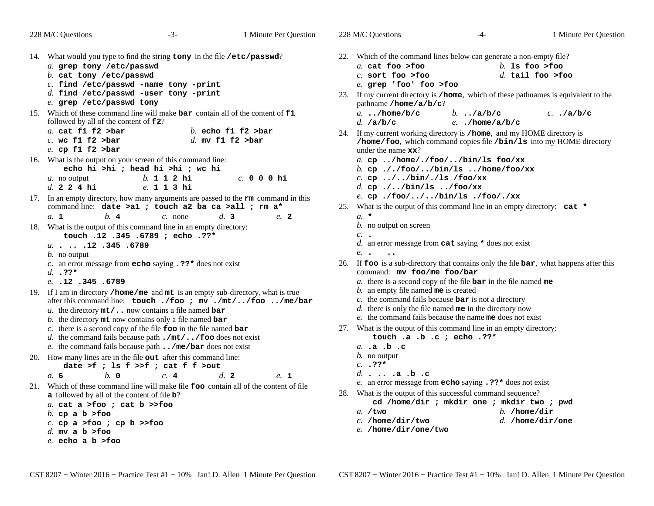| 228 M/C Questions                                                                                                                                                                                                                                                                                                                     | $-3-$<br>1 Minute Per Question           | 228 M/C Questions                                                                                                                                                                                                                                                        | $-4-$                                      | 1 Minute Per Quest                                                                     |
|---------------------------------------------------------------------------------------------------------------------------------------------------------------------------------------------------------------------------------------------------------------------------------------------------------------------------------------|------------------------------------------|--------------------------------------------------------------------------------------------------------------------------------------------------------------------------------------------------------------------------------------------------------------------------|--------------------------------------------|----------------------------------------------------------------------------------------|
| 14. What would you type to find the string tony in the file /etc/passwd?<br>a. grep tony /etc/passwd<br>$b.$ cat tony /etc/passwd<br>$c.$ find /etc/passwd -name tony -print<br>$d.$ find /etc/passwd -user tony -print<br>e. grep /etc/passwd tony<br>15. Which of these command line will make bar contain all of the content of f1 |                                          | 22. Which of the command lines below can generate a non-empty file?<br>a. cat foo >foo<br>$c.$ sort foo >foo<br>e. grep 'foo' foo >foo<br>23. If my current directory is /home, which of these pathnames is equivalent to the<br>pathname / $home/a/b/c$ ?<br>a/home/b/c | b $/a/b/c$                                 | $b.$ 1s foo >foo<br>$d.$ tail foo >foo<br>$c.$ ./a/b/c                                 |
| followed by all of the content of <b>f2</b> ?<br>a. cat $f1 f2 >bar$<br>$c.$ wc f1 f2 >bar<br>e. cp $f1 f2 >bar$                                                                                                                                                                                                                      | b. echo f1 f2 $>bar$<br>d. mv f1 f2 >bar | d. $/a/b/c$<br>24. If my current working directory is /home, and my HOME directory is<br>under the name $\mathbf{xx}$ ?                                                                                                                                                  | e/home/a/b/c                               | /home/foo, which command copies file /bin/ls into my HOME directory                    |
| 16. What is the output on your screen of this command line:<br>echo hi >hi ; head hi >hi ; wc hi<br>$b. 1 1 2 h$ i<br>a. no output<br>d. 2 2 4 hi<br>e. 1 1 3 hi                                                                                                                                                                      | $c.$ 000 hi                              | a. cp/home/./foo//bin/ls foo/xx<br>b. cp././foo//bin/ls/home/foo/xx<br>c. cp $\ldots$ //bin/./ls /foo/xx<br>d. cp.//bin/ls/foo/xx                                                                                                                                        |                                            |                                                                                        |
| 17. In an empty directory, how many arguments are passed to the $rm{rm}$ command in this<br>command line: date >a1 ; touch a2 ba ca >all ; rm a*<br>b.4<br>a. 1                                                                                                                                                                       | d.3<br>$c.$ none<br>e. 2                 | e. cp./foo///bin/ls./foo/./xx<br>25. What is the output of this command line in an empty directory: cat *<br>$a. *$                                                                                                                                                      |                                            |                                                                                        |
| 18. What is the output of this command line in an empty directory:<br>touch .12 .345 .6789 ; echo .??*<br>a. 12 . 345 . 6789<br>$b$ . no output                                                                                                                                                                                       |                                          | <i>b</i> . no output on screen<br>$c.$ .<br>d. an error message from $\texttt{cat}$ saying $*$ does not exist<br>e. .                                                                                                                                                    |                                            |                                                                                        |
| c. an error message from <b>echo</b> saying $\cdot$ ??* does not exist<br>$d. 32*$<br>$e.$ $.12$ $.345$ $.6789$                                                                                                                                                                                                                       |                                          | command: mv foo/me foo/bar<br>a. there is a second copy of the file $bar$ in the file named me                                                                                                                                                                           |                                            | 26. If foo is a sub-directory that contains only the file bar, what happens after this |
| 19. If I am in directory /home/me and mt is an empty sub-directory, what is true<br>after this command line: touch ./foo ; mv ./mt//foo /me/bar<br>a. the directory $m t / \dots$ now contains a file named bar<br>b. the directory $m$ t now contains only a file named bar                                                          |                                          | $b$ . an empty file named me is created<br>$c$ . the command fails because $bar$ is not a directory<br>$d$ . there is only the file named me in the directory now<br>e. the command fails because the name me does not exist                                             |                                            |                                                                                        |
| c. there is a second copy of the file $\bf{foo}$ in the file named $\bf{bar}$<br>d. the command fails because path $\cdot/\text{mt}/\cdot \cdot$ / foo does not exist<br>e. the command fails because path $\ldots$ /me/bar does not exist                                                                                            |                                          | 27. What is the output of this command line in an empty directory:<br>touch .a .b .c ; echo .??*<br>a. .a .b .c                                                                                                                                                          |                                            |                                                                                        |
| 20. How many lines are in the file out after this command line:<br>date >f ; ls $f$ >>f ; cat $f$ $f$ >out<br>$h$ . 0<br>a. 6                                                                                                                                                                                                         | d.2<br>c.4<br>e. 1                       | $b$ . no output<br>$c. 32*$<br>d $a.b.c$                                                                                                                                                                                                                                 |                                            |                                                                                        |
| 21. Which of these command line will make file <b>foo</b> contain all of the content of file<br>a followed by all of the content of file <b>b</b> ?<br>a. cat a >foo ; cat $b$ >>foo<br>b. cp a b $>$ foo<br>c. cp a >foo ; cp b >>foo<br>d. mv a b >foo<br>e. echo a b >foo                                                          |                                          | e. an error message from <b>echo</b> saying .??* does not exist<br>28. What is the output of this successful command sequence?<br>$a. /t$ wo<br>$c.$ /home/dir/two<br>e. /home/dir/one/two                                                                               | cd /home/dir ; mkdir one ; mkdir two ; pwd | b. /home/dir<br>d. /home/dir/one                                                       |

Minute Per Question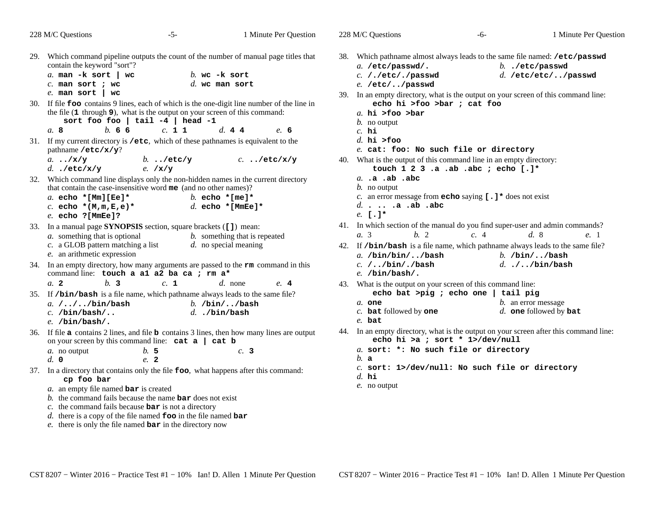228 M/C Questions

228 M/C Questions

 $-6$ - 1

|     | 228 M/C Questions<br>$-5-$                                                                                                                                                                                                                   | 1 Minute Per Question                                    |
|-----|----------------------------------------------------------------------------------------------------------------------------------------------------------------------------------------------------------------------------------------------|----------------------------------------------------------|
| 29. | Which command pipeline outputs the count of the number of manual page titles that<br>contain the keyword "sort"?                                                                                                                             |                                                          |
|     | a. man $-k$ sort   wc<br>$c.$ man sort ; wc<br>$e.$ man sort   wc                                                                                                                                                                            | $b$ . wc $-k$ sort<br>$d.$ wc man sort                   |
| 30. | If file foo contains 9 lines, each of which is the one-digit line number of the line in<br>the file $(1$ through $9$ ), what is the output on your screen of this command:<br>sort foo foo   tail $-4$   head $-1$<br>h.66<br>c. 1 1<br>a. 8 | d. 44<br>e. 6                                            |
| 31. | If my current directory is /etc, which of these pathnames is equivalent to the<br>pathname /etc/x/y?                                                                                                                                         |                                                          |
|     | a. $\cdot$ /x/y<br>b. $\cdot$ /etc/y<br>$d.$ ./etc/x/y<br>e. $/\mathbf{x}/\mathbf{y}$                                                                                                                                                        | $c.$ /etc/x/y                                            |
| 32. | Which command line displays only the non-hidden names in the current directory<br>that contain the case-insensitive word me (and no other names)?<br>a. echo *[Mm][Ee]*                                                                      | b. echo $*$ [me] $*$                                     |
|     | c. echo $*(M,m,E,e)*$<br>$e.$ echo ? [MmEe]?                                                                                                                                                                                                 | d. echo $*$ [MmEe]*                                      |
| 33. | In a manual page SYNOPSIS section, square brackets ([1]) mean:<br><i>a</i> . something that is optional<br>c. a GLOB pattern matching a list<br>e. an arithmetic expression                                                                  | b. something that is repeated<br>$d.$ no special meaning |
| 34. | In an empty directory, how many arguments are passed to the $rm$ command in this<br>command line: touch a a1 a2 ba ca ; rm a*                                                                                                                |                                                          |
| 35. | h <sub>2</sub><br>a.2<br>c. 1                                                                                                                                                                                                                | $d.$ none<br>e.4                                         |
|     | If /bin/bash is a file name, which pathname always leads to the same file?<br>a. $/$ $/$ $/$ bin $/$ bash<br>$c.$ /bin/bash/<br>$e.$ /bin/bash/.                                                                                             | b. $/bin/$ /bash<br>$d.$ ./bin/bash                      |
| 36. | If file $a$ contains 2 lines, and file $b$ contains 3 lines, then how many lines are output<br>on your screen by this command line: $cat a   cat b$                                                                                          |                                                          |
|     | b.5<br>a. no output<br>d. 0<br>$e^2$                                                                                                                                                                                                         | c.3                                                      |
| 37. | In a directory that contains only the file foo, what happens after this command:                                                                                                                                                             |                                                          |

## **cp foo bar**

- *a.* an empty file named **bar** is created
- *b.* the command fails because the name **bar** does not exist
- *c.* the command fails because **bar** is not a directory
- *d.* there is a copy of the file named **foo** in the file named **bar**
- *e.* there is only the file named **bar** in the directory now

38. Which pathname almost always leads to the same file named: **/etc/passwd**

- *a.* **/etc/passwd/.** *b.* **./etc/passwd** *c.* **/./etc/./passwd** *d.* **/etc/etc/../passwd** *e.* **/etc/../passwd**
- 39. In an empty directory, what is the output on your screen of this command line: **echo hi >foo >bar ; cat foo**
	- *a.* **hi >foo >bar**
	- *b.* no output
	- *c.* **hi**
	- *d.* **hi >foo**
	- *e.* **cat: foo: No such file or directory**
- 40. What is the output of this command line in an empty directory: **touch 1 2 3 .a .ab .abc ; echo [.]\***
	- *a.* **.a .ab .abc**
	- *b.* no output
	- *c.* an error message from **echo** saying **[.]\*** does not exist
	- *d.* **. .. .a .ab .abc**
	- *e.* **[.]\***
- 41. In which section of the manual do you find super-user and admin commands? *a.* 3*b.* <sup>2</sup> *c.* <sup>4</sup> *d.* <sup>8</sup> *e.* <sup>1</sup>
- 42. If **/bin/bash** is a file name, which pathname always leads to the same file?
	- *a.* **/bin/bin/../bash** *b.* **/bin/../bash** *c.* **/../bin/./bash** *d.* **./../bin/bash** *e.* **/bin/bash/.**
- 43. What is the output on your screen of this command line: **echo bat >pig ; echo one | tail pig**
	- *b.* an error message *a.* **one**
	- *c.* **bat**followed by **one** *d.* **one** followed by **bat**
	- *e.* **bat**
- 44. In an empty directory, what is the output on your screen after this command line: **echo hi >a ; sort \* 1>/dev/null**
	- *a.* **sort: \*: No such file or directory**
	- *b.* **<sup>a</sup>**
	- *c.* **sort: 1>/dev/null: No such file or directory**
	- *d.* **hi**
	- *e.* no output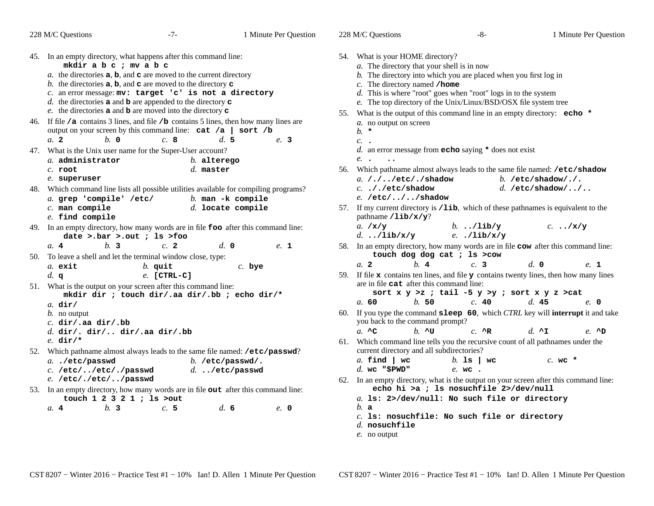|     | 228 M/C Questions                                                                                                                                                                                                                                                                                             | $-7-$                                                                                                                                     | 1 Minute Per Question                                                                                                              | 228 M/C Questions                                                                                                 |                       | -8-                                                                                                                                                                                                                                                                                      |                        | 1 Minute Per Question |
|-----|---------------------------------------------------------------------------------------------------------------------------------------------------------------------------------------------------------------------------------------------------------------------------------------------------------------|-------------------------------------------------------------------------------------------------------------------------------------------|------------------------------------------------------------------------------------------------------------------------------------|-------------------------------------------------------------------------------------------------------------------|-----------------------|------------------------------------------------------------------------------------------------------------------------------------------------------------------------------------------------------------------------------------------------------------------------------------------|------------------------|-----------------------|
|     | 45. In an empty directory, what happens after this command line:<br>mkdir a b c ; mv a b c<br>b. the directories $a, b$ , and $c$ are moved to the directory $c$<br>c. an error message: mv: target 'c' is not a directory<br>d. the directories $\bf{a}$ and $\bf{b}$ are appended to the directory $\bf{c}$ | a. the directories $a, b$ , and $c$ are moved to the current directory<br>e. the directories $a$ and $b$ are moved into the directory $c$ |                                                                                                                                    | 54. What is your HOME directory?<br>a. The directory that your shell is in now<br>$c$ . The directory named /home |                       | $b$ . The directory into which you are placed when you first log in<br>$d$ . This is where "root" goes when "root" logs in to the system<br>e. The top directory of the Unix/Linux/BSD/OSX file system tree<br>55. What is the output of this command line in an empty directory: echo * |                        |                       |
|     | 46. If file / <b>a</b> contains 3 lines, and file / <b>b</b> contains 5 lines, then how many lines are<br>$b. \, o$<br>a. 2                                                                                                                                                                                   | output on your screen by this command line: $cat /a$   sort /b<br>c.8                                                                     | d.5<br>e. 3                                                                                                                        | a. no output on screen<br>$b. *$<br>$c.$ .                                                                        |                       |                                                                                                                                                                                                                                                                                          |                        |                       |
| 47. | What is the Unix user name for the Super-User account?<br>a. administrator<br>$c.$ root<br>e. superuser                                                                                                                                                                                                       | $b.$ alterego<br>$d.$ master                                                                                                              |                                                                                                                                    | e. .<br>$\ddot{\phantom{0}}\cdot$<br>a. $/$ . $/$ /etc/./shadow                                                   |                       | d. an error message from echo saying $*$ does not exist<br>56. Which pathname almost always leads to the same file named: /etc/shadow                                                                                                                                                    | b. /etc/shadow/./.     |                       |
|     | a. grep 'compile' /etc/<br>$c.$ man compile<br>$e.$ find compile                                                                                                                                                                                                                                              |                                                                                                                                           | 48. Which command line lists all possible utilities available for compiling programs?<br>$b$ . man -k compile<br>d. locate compile | $c.$ ././etc/shadow<br>$e.$ /etc///shadow<br>pathname $/$ lib/ $x/y$ ?                                            |                       | 57. If my current directory is /1ib, which of these pathnames is equivalent to the                                                                                                                                                                                                       | d. /etc/shadow//       |                       |
|     | 49. In an empty directory, how many words are in file <b>foo</b> after this command line:<br>date >.bar >.out ; ls >foo                                                                                                                                                                                       |                                                                                                                                           |                                                                                                                                    | a. $/x/y$<br>d/lib/x/y                                                                                            |                       | $b.$ /lib/y<br>$e.$ ./lib/x/y                                                                                                                                                                                                                                                            |                        | $c. \ldots /x/y$      |
| 50. | h <sub>3</sub><br>a.4<br>To leave a shell and let the terminal window close, type:<br>a. exit<br>d. q                                                                                                                                                                                                         | c.2<br>$b.$ quit<br>$e.$ [CTRL-C]                                                                                                         | $d. \; \mathbf{0}$<br>$e.$ 1<br>$c.$ bye                                                                                           | a <sub>2</sub>                                                                                                    | $h$ . 4               | 58. In an empty directory, how many words are in file cow after this command line:<br>touch dog dog cat ; 1s >cow<br>c.3<br>59. If file $x$ contains ten lines, and file $y$ contains twenty lines, then how many lines                                                                  | d. 0                   | e. 1                  |
|     | 51. What is the output on your screen after this command line:<br>$a.$ dir/<br>$b$ . no output<br>c. $dir/$ .aa $dir/$ .bb<br>$d.$ dir/. dir/ dir/.aa dir/.bb<br>e. $dir/*$                                                                                                                                   | mkdir dir ; touch dir/.aa dir/.bb ; echo dir/*                                                                                            |                                                                                                                                    | are in file cat after this command line:<br>a. 60<br>you back to the command prompt?<br>$a^{\dagger}$ $AC$        | b.50<br>$h. \Delta u$ | sort $x \ y \ >z$ ; tail -5 $y \ >y$ ; sort $x \ y \ z \ >cat$<br>c.40<br>60. If you type the command sleep 60, which CTRL key will interrupt it and take<br>$c. \Delta$ R<br>61. Which command line tells you the recursive count of all pathnames under the                            | d.45<br>d. $\lambda$ I | e. 0<br>$e. \wedge D$ |
| 52. | Which pathname almost always leads to the same file named: /etc/passwd?<br>a/etc/passwd<br>C. /etc//etc/./passwd<br>e. /etc/./etc//passwd                                                                                                                                                                     |                                                                                                                                           | b. /etc/passwd/.<br>$d.$ /etc/passwd                                                                                               | current directory and all subdirectories?<br>$a.$ find $ $ wc<br>$d.$ wc "\$PWD"                                  |                       | b. 1s   $wc$<br>e. wc.<br>62. In an empty directory, what is the output on your screen after this command line:                                                                                                                                                                          | $c.$ wc $*$            |                       |
|     | 53. In an empty directory, how many words are in file out after this command line:<br>touch $1 \t2 \t3 \t2 \t1$ ; ls >out<br>h <sub>2</sub><br>a.4                                                                                                                                                            | c.5                                                                                                                                       | $d_{\rm c}$ 6<br>$e$ , 0                                                                                                           | b. a                                                                                                              |                       | echo hi >a ; ls nosuchfile 2>/dev/null<br>a. 1s: 2>/dev/null: No such file or directory<br>$c.$ is: nosuchfile: No such file or directory                                                                                                                                                |                        |                       |

- *d.* **nosuchfile**
- *e.* no output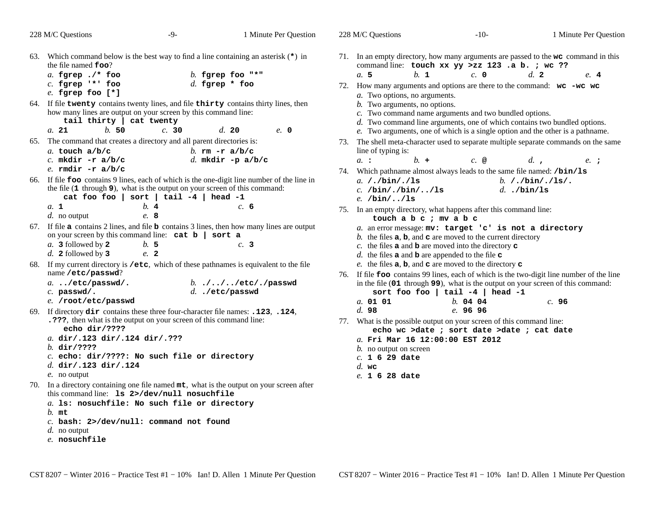|     | 228 M/C Questions                                                                                                                                                                     | $-9-$                                      | 1 Minute Per Question                                                                                                                                 |  | 228 M/C Questions                                                                                                                                                                                                                                                                  | $-10-$                                                                                                                                                                                      | 1 Minute Per Question                                                                                                                                                          |  |  |  |
|-----|---------------------------------------------------------------------------------------------------------------------------------------------------------------------------------------|--------------------------------------------|-------------------------------------------------------------------------------------------------------------------------------------------------------|--|------------------------------------------------------------------------------------------------------------------------------------------------------------------------------------------------------------------------------------------------------------------------------------|---------------------------------------------------------------------------------------------------------------------------------------------------------------------------------------------|--------------------------------------------------------------------------------------------------------------------------------------------------------------------------------|--|--|--|
|     | the file named <b>foo?</b><br>a. fgrep $\cdot$ /* foo<br>$c.$ fgrep $**$ foo<br>$e.$ fgrep foo $[*]$                                                                                  |                                            | 63. Which command below is the best way to find a line containing an asterisk $(*)$ in<br>b. fgrep foo $"$ *"<br>d. fgrep $*$ foo                     |  | command line: touch xx yy >zz 123 .a b. ; wc ??<br>a. 5<br>b. 1<br><i>a</i> . Two options, no arguments.                                                                                                                                                                           | c. 0                                                                                                                                                                                        | 71. In an empty directory, how many arguments are passed to the wc command in this<br>d.2<br>e. 4<br>72. How many arguments and options are there to the command: $wc - wc$ wc |  |  |  |
|     | how many lines are output on your screen by this command line:<br>tail thirty   cat twenty<br>b.50<br>a. 21                                                                           | c. 30                                      | 64. If file twenty contains twenty lines, and file thirty contains thirty lines, then<br>d.20<br>e. 0                                                 |  | $b$ . Two arguments, no options.<br>c. Two command name arguments and two bundled options.                                                                                                                                                                                         |                                                                                                                                                                                             | d. Two command line arguments, one of which contains two bundled options.<br>e. Two arguments, one of which is a single option and the other is a pathname.                    |  |  |  |
|     | 65. The command that creates a directory and all parent directories is:<br>a. touch $a/b/c$<br>c. mkdir $-r a/b/c$<br>e. $r$ mdir $-r$ a/b/c                                          |                                            | b. $rm-ra/b/c$<br>$d.$ mkdir -p a/b/c                                                                                                                 |  | line of typing is:<br>$h_{\cdot}$ +<br>$a_{\cdot}$ :                                                                                                                                                                                                                               | $c.$ @                                                                                                                                                                                      | 73. The shell meta-character used to separate multiple separate commands on the same<br>d.<br>$e_{\cdot}$ ;                                                                    |  |  |  |
|     | the file (1 through 9), what is the output on your screen of this command:                                                                                                            | cat foo foo   sort   tail $-4$   head $-1$ | 66. If file <b>foo</b> contains 9 lines, each of which is the one-digit line number of the line in                                                    |  | 74. Which pathname almost always leads to the same file named: /bin/ls<br>a. $/$ . $/bin/$ . /1s<br>b. $/$ ./bin $/$ ./ls/.<br>$c.$ /bin/./bin//ls<br>$d.$ ./bin/ls<br>$e.$ /bin//ls<br>75. In an empty directory, what happens after this command line:<br>touch a b c ; mv a b c |                                                                                                                                                                                             |                                                                                                                                                                                |  |  |  |
|     | a. 1<br>$d.$ no output                                                                                                                                                                | b.4<br>e. 8                                | c. 6                                                                                                                                                  |  |                                                                                                                                                                                                                                                                                    |                                                                                                                                                                                             |                                                                                                                                                                                |  |  |  |
|     | on your screen by this command line: $cat b   sort a$<br>$a. 3$ followed by 2<br>$d.$ 2 followed by 3                                                                                 | b.5<br>e. 2                                | 67. If file a contains 2 lines, and file <b>b</b> contains 3 lines, then how many lines are output<br>c.3                                             |  | a. an error message: mv: target 'c' is not a directory<br>b. the files $a, b$ , and $c$ are moved to the current directory<br>c. the files $\bf{a}$ and $\bf{b}$ are moved into the directory $\bf{c}$<br>d. the files $\bf{a}$ and $\bf{b}$ are appended to the file $\bf{c}$     |                                                                                                                                                                                             |                                                                                                                                                                                |  |  |  |
| 68. | name /etc/passwd?<br>a/etc/passwd/.<br>$c.$ passwd/.<br>e. /root/etc/passwd                                                                                                           |                                            | If my current directory is /etc, which of these pathnames is equivalent to the file<br>b. $\cdot/\cdot/\cdot/\cdot$ / etc/./passwd<br>d. ./etc/passwd |  | e. the files $a, b$ , and $c$ are moved to the directory $c$<br>sort foo foo   tail $-4$   head $-1$<br>a. 01 01                                                                                                                                                                   | 76. If file <b>foo</b> contains 99 lines, each of which is the two-digit line number of the line<br>in the file (01 through 99), what is the output on your screen of this command:<br>c.96 |                                                                                                                                                                                |  |  |  |
|     | 69. If directory dir contains these three four-character file names: .123, .124,<br>.7??, then what is the output on your screen of this command line:<br>echo dir/????               |                                            |                                                                                                                                                       |  | d.98<br>77. What is the possible output on your screen of this command line:                                                                                                                                                                                                       | b.0404<br>e.9696<br>echo wc >date ; sort date >date ; cat date                                                                                                                              |                                                                                                                                                                                |  |  |  |
|     | a. dir/.123 dir/.124 dir/.???<br>$b.$ dir/????<br>$c.$ echo: dir/????: No such file or directory<br>$d.$ dir/.123 dir/.124<br>$e$ . no output                                         |                                            |                                                                                                                                                       |  | a. Fri Mar 16 12:00:00 EST 2012<br><i>b</i> . no output on screen<br>$c. 1629$ date<br>$d.$ wc<br>e. 1 6 28 date                                                                                                                                                                   |                                                                                                                                                                                             |                                                                                                                                                                                |  |  |  |
|     | this command line: 1s 2>/dev/null nosuchfile<br>a. 1s: nosuchfile: No such file or directory<br>$b.$ mt<br>$c.$ bash: 2>/dev/null: command not found<br>d. no output<br>e. nosuchfile |                                            | 70. In a directory containing one file named $mt$ , what is the output on your screen after                                                           |  |                                                                                                                                                                                                                                                                                    |                                                                                                                                                                                             |                                                                                                                                                                                |  |  |  |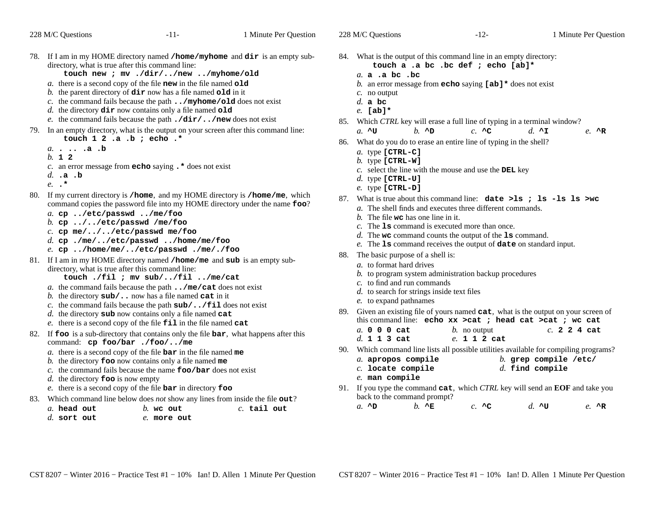|     | 228 M/C Questions                                                                                               | $-11-$                                                                                                                                                                                                                                                                                                                                                                                                         | 1 Minute Per Question                                                                                                                                     |            | 228 M/C Questions                                                                                     |                                                                             | $-12-$                                                                                                                                                                                                                                                                                                                        |                                              | 1 Minute Per Question              |
|-----|-----------------------------------------------------------------------------------------------------------------|----------------------------------------------------------------------------------------------------------------------------------------------------------------------------------------------------------------------------------------------------------------------------------------------------------------------------------------------------------------------------------------------------------------|-----------------------------------------------------------------------------------------------------------------------------------------------------------|------------|-------------------------------------------------------------------------------------------------------|-----------------------------------------------------------------------------|-------------------------------------------------------------------------------------------------------------------------------------------------------------------------------------------------------------------------------------------------------------------------------------------------------------------------------|----------------------------------------------|------------------------------------|
|     | directory, what is true after this command line:                                                                | touch new ; mv ./dir//new /myhome/old<br>a. there is a second copy of the file new in the file named old<br>b. the parent directory of $\dim$ now has a file named old in it<br>c. the command fails because the path $\ldots$ /myhome/old does not exist<br>$d.$ the directory $\text{dir}$ now contains only a file named $\text{old}$<br>e. the command fails because the path $./dir/$ /new does not exist | 78. If I am in my HOME directory named /home/myhome and dir is an empty sub-                                                                              |            | a. a . a bc . bc<br>$c$ . no output<br>$d.$ a bc<br>$e.$ [ab]*                                        |                                                                             | 84. What is the output of this command line in an empty directory:<br>touch a .a bc .bc def ; echo [ab]*<br>b. an error message from <b>echo</b> saying $[a\mathbf{b}]$ * does not exist<br>85. Which CTRL key will erase a full line of typing in a terminal window?                                                         |                                              |                                    |
|     | touch $1 \t2 \t.a. b ;$ echo.*<br>$a. \cdot \cdot \cdot \cdot a \cdot b$<br>b. 1 2<br>$d.$ .a.b<br>$e. \cdot$ * | 79. In an empty directory, what is the output on your screen after this command line:<br>c. an error message from $echo$ saying $.*$ does not exist                                                                                                                                                                                                                                                            |                                                                                                                                                           |            | $a. \wedge U$<br>$a.$ type [CTRL-C]<br>b. type $[CFRL-W]$<br>$d.$ type [CTRL-U]<br>$e.$ type [CTRL-D] | $h. \Delta D$                                                               | $c. \wedge c$<br>86. What do you do to erase an entire line of typing in the shell?<br>$c$ . select the line with the mouse and use the DEL key                                                                                                                                                                               | d. $\lambda$ I                               | $e. \ \Lambda$ R                   |
| 80. | a. cp /etc/passwd /me/foo<br>b. cp $\ldots$ //etc/passwd /me/foo<br>c. cp me///etc/passwd me/foo                | d. cp./me//etc/passwd/home/me/foo<br>e. cp /home/me//etc/passwd ./me/./foo                                                                                                                                                                                                                                                                                                                                     | If my current directory is /home, and my HOME directory is /home/me, which<br>command copies the password file into my HOME directory under the name foo? |            |                                                                                                       | $b$ . The file we has one line in it.                                       | 87. What is true about this command line: date >1s ; 1s -1s 1s >wc<br>a. The shell finds and executes three different commands.<br>$c$ . The <b>1s</b> command is executed more than once.<br>$d$ . The we command counts the output of the $1s$ command.<br>e. The 1s command receives the output of date on standard input. |                                              |                                    |
|     | directory, what is true after this command line:                                                                | 81. If I am in my HOME directory named /home/me and sub is an empty sub-<br>touch ./fil ; mv sub//fil /me/cat<br>a. the command fails because the path $\ldots$ /me/cat does not exist<br>b. the directory $sub/$ now has a file named cat in it<br>c. the command fails because the path $sub/$ / $fill$ does not exist<br>$d.$ the directory sub now contains only a file named cat                          |                                                                                                                                                           | 88.<br>89. | The basic purpose of a shell is:<br>a. to format hard drives<br>e. to expand pathnames                | c. to find and run commands<br>$d.$ to search for strings inside text files | b. to program system administration backup procedures<br>Given an existing file of yours named cat, what is the output on your screen of                                                                                                                                                                                      |                                              |                                    |
|     |                                                                                                                 | e. there is a second copy of the file $\text{fill}$ in the file named cat<br>82. If foo is a sub-directory that contains only the file bar, what happens after this                                                                                                                                                                                                                                            |                                                                                                                                                           |            | a. 0 0 0 cat<br>d. 1 1 3 cat                                                                          |                                                                             | this command line: echo xx > cat ; head cat > cat ; wc cat<br>$b$ . no output<br>e. 1 1 2 cat                                                                                                                                                                                                                                 |                                              | c. 2 2 4 cat                       |
|     | command: cp foo/bar ./foo//me<br>$d$ . the directory <b>foo</b> is now empty                                    | a. there is a second copy of the file $bar$ in the file named me<br>b. the directory $f$ co now contains only a file named me<br>c. the command fails because the name $\text{foo}/\text{bar}$ does not exist                                                                                                                                                                                                  |                                                                                                                                                           |            | a. apropos compile<br>$c.$ locate compile<br>$e$ . man compile                                        |                                                                             | 90. Which command line lists all possible utilities available for compiling programs?                                                                                                                                                                                                                                         | $b.$ grep compile /etc/<br>$d.$ find compile |                                    |
|     | a. head out<br>$d.$ sort out                                                                                    | e. there is a second copy of the file $bar$ in directory $f$ oo<br>83. Which command line below does <i>not</i> show any lines from inside the file out?<br>$b$ . we out<br>e. more out                                                                                                                                                                                                                        | $c.$ tail out                                                                                                                                             |            | $a. \wedge D$                                                                                         | back to the command prompt?<br>$h. \Delta E$                                | 91. If you type the command cat, which CTRL key will send an EOF and take you<br>$c. \wedge c$                                                                                                                                                                                                                                | d. $\sim$ u                                  | $e. \quad^{\mathsf{A}} \mathbb{R}$ |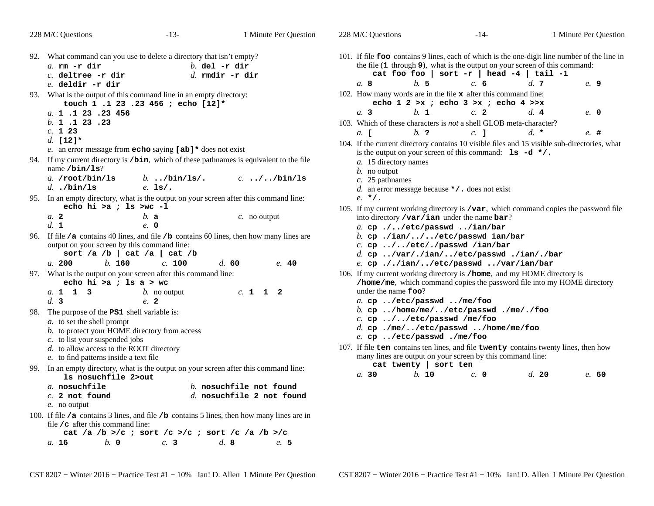|     | 228 M/C Questions                                                                                                                                                                                           | $-13-$                            | 1 Minute Per Question                                   | 228 M/C Questions                                                                                                                                                                   | $-14-$                                                                                                                          | 1 Minute Per Question |       |
|-----|-------------------------------------------------------------------------------------------------------------------------------------------------------------------------------------------------------------|-----------------------------------|---------------------------------------------------------|-------------------------------------------------------------------------------------------------------------------------------------------------------------------------------------|---------------------------------------------------------------------------------------------------------------------------------|-----------------------|-------|
|     | 92. What command can you use to delete a directory that isn't empty?<br>$a.$ rm $-r$ dir<br>$c.$ deltree -r dir<br>e. deldir -r dir                                                                         | $b.$ del -r dir                   | $d.$ rmdir $-r$ dir                                     | 101. If file foo contains 9 lines, each of which is the one-digit line number of the line in<br>b.5<br>a. 8                                                                         | the file (1 through 9), what is the output on your screen of this command:<br>cat foo foo   sort -r   head -4   tail -1<br>c. 6 | d.7<br>e. 9           |       |
|     | 93. What is the output of this command line in an empty directory:<br>touch 1 .1 23 .23 456 ; echo [12]*<br>a. 1 .1 23 .23 456<br>b. 1 .1 23 .23                                                            |                                   |                                                         | 102. How many words are in the file $x$ after this command line:<br>$h_{\cdot}$ 1<br>a.3<br>103. Which of these characters is not a shell GLOB meta-character?                      | echo $1$ 2 >x; echo $3$ >x; echo $4$ >>x<br>c.2                                                                                 | d.4<br>e. 0           |       |
|     | c. 123<br>d. [12]*<br>e. an error message from <b>echo</b> saying $[ab]$ to does not exist                                                                                                                  |                                   |                                                         | $h$ ?<br>a. [<br>104. If the current directory contains 10 visible files and 15 visible sub-directories, what                                                                       | $c.$ 1<br>is the output on your screen of this command: $1s -d \cdot /$ .                                                       | $d \star$<br>$e.$ #   |       |
|     | 94. If my current directory is /bin, which of these pathnames is equivalent to the file<br>name $/bin/ls?$<br>a. /root/bin/ls<br>d. $./bin/ls$                                                              | b $\lambda$ bin/ls/.<br>$e.$ ls/. | $c. \ldots / \ldots / \text{bin}/\text{ls}$             | a. 15 directory names<br>$b$ . no output<br>$c.$ 25 pathnames<br>d. an error message because $\star$ / . does not exist                                                             |                                                                                                                                 |                       |       |
|     | 95. In an empty directory, what is the output on your screen after this command line:<br>echo hi >a ; ls >wc -l<br>a.2<br>b. a                                                                              |                                   | $c$ . no output                                         | $e. *$ /.<br>105. If my current working directory is $\sqrt{var}$ , which command copies the password file<br>into directory / $\text{var}/\text{ian}$ under the name $\text{bar?}$ |                                                                                                                                 |                       |       |
|     | d. 1<br>$e$ , 0<br>96. If file /a contains 40 lines, and file /b contains 60 lines, then how many lines are<br>output on your screen by this command line:<br>sort /a /b   cat /a   cat /b                  |                                   |                                                         | a. cp.//etc/passwd/ian/bar<br>b. cp./ian///etc/passwd ian/bar<br>$c.$ cp //etc/./passwd /ian/bar                                                                                    | d. cp /var/./ian//etc/passwd ./ian/./bar                                                                                        |                       |       |
|     | b. 160<br>a. 200<br>97. What is the output on your screen after this command line:<br>echo hi >a ; ls $a > wc$                                                                                              | c. 100                            | d.60<br>e. 40                                           | 106. If my current working directory is /home, and my HOME directory is                                                                                                             | e. cp././ian//etc/passwd/var/ian/bar<br>/home/me, which command copies the password file into my HOME directory                 |                       |       |
| 98. | a. 1 1 3<br>d.3<br>e. 2<br>The purpose of the <b>PS1</b> shell variable is:<br>a. to set the shell prompt<br>b. to protect your HOME directory from access                                                  | b. no output                      | c. 1 1 2                                                | under the name <b>foo?</b><br>a. cp /etc/passwd /me/foo<br>$c.$ cp $\ldots$ //etc/passwd /me/foo<br>e. cp /etc/passwd ./me/foo                                                      | b. cp /home/me//etc/passwd ./me/./foo<br>d. cp/me//etc/passwd/home/me/foo                                                       |                       |       |
|     | c. to list your suspended jobs<br>$d.$ to allow access to the ROOT directory<br>e. to find patterns inside a text file                                                                                      |                                   |                                                         | 107. If file ten contains ten lines, and file twenty contains twenty lines, then how<br>cat twenty   sort ten                                                                       | many lines are output on your screen by this command line:                                                                      |                       |       |
|     | 99. In an empty directory, what is the output on your screen after this command line:<br>1s nosuchfile 2>out<br>a nosuchfile<br>$c.$ 2 not found<br>e. no output                                            |                                   | $b$ . nosuchfile not found<br>d. nosuchfile 2 not found | b. 10<br>a.30                                                                                                                                                                       | $c. \; 0$                                                                                                                       | d.20                  | e. 60 |
|     | 100. If file /a contains 3 lines, and file /b contains 5 lines, then how many lines are in<br>file $\angle$ c after this command line:<br>cat /a /b >/c ; sort /c >/c ; sort /c /a /b >/c<br>$h$ 0<br>a. 16 | c.3                               | d.8<br>e. 5                                             |                                                                                                                                                                                     |                                                                                                                                 |                       |       |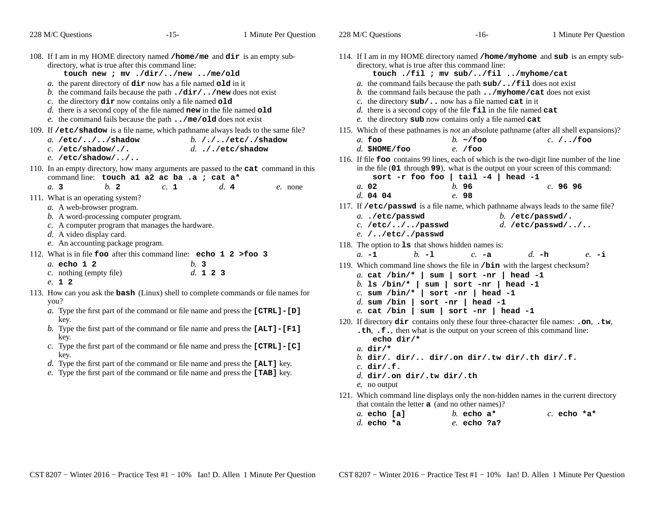| 228 M/C Questions                                                                                                                                      | $-15-$                                                                                                                                                                                                                                                                                                                                                                                                                        | 1 Minute Per Question                                                                                  | 228 M/C Questions                                                          | $-16-$                                                                                                                                                                                                                                                                                                                                                                                                                                 |
|--------------------------------------------------------------------------------------------------------------------------------------------------------|-------------------------------------------------------------------------------------------------------------------------------------------------------------------------------------------------------------------------------------------------------------------------------------------------------------------------------------------------------------------------------------------------------------------------------|--------------------------------------------------------------------------------------------------------|----------------------------------------------------------------------------|----------------------------------------------------------------------------------------------------------------------------------------------------------------------------------------------------------------------------------------------------------------------------------------------------------------------------------------------------------------------------------------------------------------------------------------|
| 108. If I am in my HOME directory named /home/me and dir is an empty sub-<br>directory, what is true after this command line:                          | touch new ; mv ./dir//new /me/old<br>a. the parent directory of $\text{dir}$ now has a file named $\text{old}$ in it<br>b. the command fails because the path $./dir/$ /new does not exist<br>c. the directory $\text{dir}$ now contains only a file named $\text{old}$<br>$d.$ there is a second copy of the file named new in the file named $old$<br>e. the command fails because the path $\ldots$ /me/old does not exist |                                                                                                        | directory, what is true after this command line:                           | 114. If I am in my HOME directory named /home/myhome and a<br>touch ./fil ; mv sub//fil /myhome/o<br>a. the command fails because the path $sub/$ / $fil$ does no<br>b. the command fails because the path $\ldots$ /myhome/cat do<br>c. the directory $sub/$ now has a file named cat in it<br>d. there is a second copy of the file $\texttt{fill}$ in the file named cat<br>e. the directory sub now contains only a file named cat |
| 109. If /etc/shadow is a file name, which pathname always leads to the same file?<br>$a. /etc/$ //shadow<br>$c.$ /etc/shadow/./.<br>$e.$ /etc/shadow// |                                                                                                                                                                                                                                                                                                                                                                                                                               | b. $/$ . $/$ /etc/./shadow<br>$d.$ ././etc/shadow                                                      | $a.$ foo<br>$d.$ \$HOME/foo                                                | 115. Which of these pathnames is <i>not</i> an absolute pathname (after a<br>$b. \sim$ /foo<br>$c$ .<br>$e.$ /foo<br>116. If file foo contains 99 lines, each of which is the two-digit lin                                                                                                                                                                                                                                            |
| b.2<br>a.3                                                                                                                                             | command line: touch al a2 ac ba .a ; cat a*<br>c. 1                                                                                                                                                                                                                                                                                                                                                                           | 110. In an empty directory, how many arguments are passed to the cat command in this<br>d.4<br>e. none | a. 02                                                                      | in the file (01 through 99), what is the output on your screen<br>sort -r foo foo   tail -4   head -1<br>b.96<br>c.                                                                                                                                                                                                                                                                                                                    |
| 111. What is an operating system?<br>a. A web-browser program.<br>b. A word-processing computer program.<br>$d.$ A video display card.                 | c. A computer program that manages the hardware.                                                                                                                                                                                                                                                                                                                                                                              |                                                                                                        | d. 04 04<br>$a.$ ./etc/passwd<br>$c.$ /etc///passwd<br>$e.$ //etc/./passwd | e. 98<br>117. If /etc/passwd is a file name, which pathname always lead<br>$b.$ /etc/passy<br>d. /etc/passy                                                                                                                                                                                                                                                                                                                            |
| e. An accounting package program.                                                                                                                      |                                                                                                                                                                                                                                                                                                                                                                                                                               |                                                                                                        | 118. The option to 1s that shows hidden names is:                          |                                                                                                                                                                                                                                                                                                                                                                                                                                        |
| 112. What is in file foo after this command line: echo 1 2 > foo 3                                                                                     |                                                                                                                                                                                                                                                                                                                                                                                                                               |                                                                                                        | $h_{-1}$<br>$a. -1$                                                        | $c. -a$<br>$d. -h$                                                                                                                                                                                                                                                                                                                                                                                                                     |
| a. echo 1 2<br>$c.$ nothing (empty file)<br>e. 1 2<br>113. How can you ask the <b>bash</b> (Linux) shell to complete commands or file names for        | b.3<br>d. 1 2 3                                                                                                                                                                                                                                                                                                                                                                                                               |                                                                                                        | b. Is $/bin/*$<br>c. sum /bin/*   sort -nr   head -1                       | 119. Which command line shows the file in /bin with the largest<br>a. cat /bin/*   sum   sort -nr   head -1<br>$sum \mid sort - nr \mid head -1$                                                                                                                                                                                                                                                                                       |
| you?                                                                                                                                                   | a. Type the first part of the command or file name and press the [CTRL] - [D]                                                                                                                                                                                                                                                                                                                                                 |                                                                                                        | $d.$ sum /bin<br>$e.$ cat /bin                                             | sort $-nr$   head $-1$<br>$sum   sort - nr  head -1$                                                                                                                                                                                                                                                                                                                                                                                   |
| kev.                                                                                                                                                   |                                                                                                                                                                                                                                                                                                                                                                                                                               |                                                                                                        |                                                                            | 120. If directory <b>dir</b> contains only these four three-character file n                                                                                                                                                                                                                                                                                                                                                           |
| key.                                                                                                                                                   | b. Type the first part of the command or file name and press the $[ALT] - [F1]$                                                                                                                                                                                                                                                                                                                                               |                                                                                                        | echo dir/*                                                                 | .th, .f., then what is the output on your screen of this com-                                                                                                                                                                                                                                                                                                                                                                          |
|                                                                                                                                                        | c. Type the first part of the command or file name and press the $[CTRL] - [C]$<br>key.<br>d. Type the first part of the command or file name and press the [ALT] key.<br>e. Type the first part of the command or file name and press the [TAB] key.                                                                                                                                                                         |                                                                                                        |                                                                            |                                                                                                                                                                                                                                                                                                                                                                                                                                        |
|                                                                                                                                                        |                                                                                                                                                                                                                                                                                                                                                                                                                               |                                                                                                        |                                                                            | b. dir/. dir/ dir/.on dir/.tw dir/.th dir                                                                                                                                                                                                                                                                                                                                                                                              |
|                                                                                                                                                        |                                                                                                                                                                                                                                                                                                                                                                                                                               |                                                                                                        |                                                                            | $d.$ dir/.on dir/.tw dir/.th                                                                                                                                                                                                                                                                                                                                                                                                           |
|                                                                                                                                                        |                                                                                                                                                                                                                                                                                                                                                                                                                               |                                                                                                        |                                                                            | 121. Which command line displays only the non-hidden names in the                                                                                                                                                                                                                                                                                                                                                                      |

| If I am in my HOME directory named /home/myhome and sub is an empty sub-<br>directory, what is true after this command line:<br>touch ./fil ; mv sub//fil /myhome/cat<br>a. the command fails because the path $sub/$ / $fill$ does not exist<br>b. the command fails because the path $\ldots$ /myhome/cat does not exist<br>c. the directory $sub/$ now has a file named cat in it<br>d. there is a second copy of the file $\pm i \mathbf{1}$ in the file named cat<br>e. the directory sub now contains only a file named cat |                |                  |              |
|-----------------------------------------------------------------------------------------------------------------------------------------------------------------------------------------------------------------------------------------------------------------------------------------------------------------------------------------------------------------------------------------------------------------------------------------------------------------------------------------------------------------------------------|----------------|------------------|--------------|
| Which of these pathnames is not an absolute pathname (after all shell expansions)?<br>$a$ . foo                                                                                                                                                                                                                                                                                                                                                                                                                                   | b. $\sim$ /foo |                  | $c. / /$ foo |
| $d.$ \$HOME/foo                                                                                                                                                                                                                                                                                                                                                                                                                                                                                                                   | $e.$ /foo      |                  |              |
| If file <b>foo</b> contains 99 lines, each of which is the two-digit line number of the line                                                                                                                                                                                                                                                                                                                                                                                                                                      |                |                  |              |
| in the file (01 through 99), what is the output on your screen of this command:                                                                                                                                                                                                                                                                                                                                                                                                                                                   |                |                  |              |
| sort -r foo foo   tail -4   head -1                                                                                                                                                                                                                                                                                                                                                                                                                                                                                               |                |                  |              |
| a. 02                                                                                                                                                                                                                                                                                                                                                                                                                                                                                                                             | b. 96          |                  | $c.$ 96 96   |
| d. 04 04                                                                                                                                                                                                                                                                                                                                                                                                                                                                                                                          | e. 98          |                  |              |
| If /etc/passwd is a file name, which pathname always leads to the same file?                                                                                                                                                                                                                                                                                                                                                                                                                                                      |                |                  |              |
| a/etc/passwd                                                                                                                                                                                                                                                                                                                                                                                                                                                                                                                      |                | b. /etc/passwd/. |              |
| $c.$ /etc///passwd                                                                                                                                                                                                                                                                                                                                                                                                                                                                                                                |                | d. /etc/passwd// |              |
| $e.$ //etc/./passwd                                                                                                                                                                                                                                                                                                                                                                                                                                                                                                               |                |                  |              |
| The option to $1s$ that shows hidden names is:                                                                                                                                                                                                                                                                                                                                                                                                                                                                                    |                |                  |              |
| $h_{-1}$<br>$a. -1$                                                                                                                                                                                                                                                                                                                                                                                                                                                                                                               | $c. -a$        | $d_{-}$ -h       | $e. -i$      |
| Which command line shows the file in /bin with the largest checksum?                                                                                                                                                                                                                                                                                                                                                                                                                                                              |                |                  |              |
| a. cat /bin/*   sum   sort -nr   head -1                                                                                                                                                                                                                                                                                                                                                                                                                                                                                          |                |                  |              |
| b. 1s /bin/*   sum   sort -nr   head -1                                                                                                                                                                                                                                                                                                                                                                                                                                                                                           |                |                  |              |
| $c.$ sum /bin/*   sort -nr   head -1                                                                                                                                                                                                                                                                                                                                                                                                                                                                                              |                |                  |              |
| d. sum /bin   sort -nr   head -1                                                                                                                                                                                                                                                                                                                                                                                                                                                                                                  |                |                  |              |
| e. cat /bin   sum   sort -nr   head -1                                                                                                                                                                                                                                                                                                                                                                                                                                                                                            |                |                  |              |
| If directory dir contains only these four three-character file names: .on, .tw,                                                                                                                                                                                                                                                                                                                                                                                                                                                   |                |                  |              |
| .th, .f., then what is the output on your screen of this command line:                                                                                                                                                                                                                                                                                                                                                                                                                                                            |                |                  |              |
| echo dir/*                                                                                                                                                                                                                                                                                                                                                                                                                                                                                                                        |                |                  |              |
| a. $dir/*$                                                                                                                                                                                                                                                                                                                                                                                                                                                                                                                        |                |                  |              |
| b. dir/. dir/ dir/.on dir/.tw dir/.th dir/.f.<br>$c.$ dir/.f.                                                                                                                                                                                                                                                                                                                                                                                                                                                                     |                |                  |              |
| d. dir/.on dir/.tw dir/.th                                                                                                                                                                                                                                                                                                                                                                                                                                                                                                        |                |                  |              |
| e. no output                                                                                                                                                                                                                                                                                                                                                                                                                                                                                                                      |                |                  |              |
| Which command line displays only the non-hidden names in the current directory                                                                                                                                                                                                                                                                                                                                                                                                                                                    |                |                  |              |
| that contain the letter <b>a</b> (and no other names)?                                                                                                                                                                                                                                                                                                                                                                                                                                                                            |                |                  |              |
|                                                                                                                                                                                                                                                                                                                                                                                                                                                                                                                                   |                |                  |              |

Minute Per Question

| $a.$ echo [a] |  | b. echo $a^*$ |  | $c.$ echo *a* |  |
|---------------|--|---------------|--|---------------|--|
| d. echo $*$ a |  | e. echo ?a?   |  |               |  |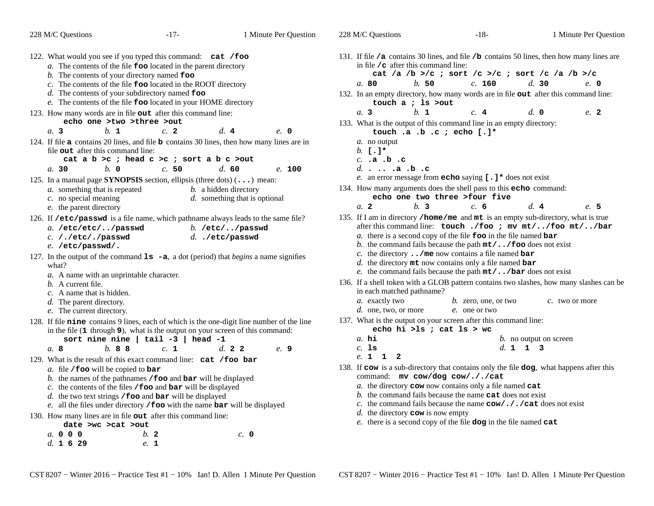| 228 M/C Questions                                                                                                                                                                                                                                                        | $-17-$                                                                                                                                                                                                                                                                                             | 1 Minute Per Question                                                                                                 | 228 M/C Questions                                                                                                                                                                                                                                                                                                                                            | $-18-$                                                                                                                                                                                                                                    | 1 Minute Per Question                                                                                        |  |  |  |
|--------------------------------------------------------------------------------------------------------------------------------------------------------------------------------------------------------------------------------------------------------------------------|----------------------------------------------------------------------------------------------------------------------------------------------------------------------------------------------------------------------------------------------------------------------------------------------------|-----------------------------------------------------------------------------------------------------------------------|--------------------------------------------------------------------------------------------------------------------------------------------------------------------------------------------------------------------------------------------------------------------------------------------------------------------------------------------------------------|-------------------------------------------------------------------------------------------------------------------------------------------------------------------------------------------------------------------------------------------|--------------------------------------------------------------------------------------------------------------|--|--|--|
| 122. What would you see if you typed this command: cat /foo<br>$b$ . The contents of your directory named $\epsilon$ oo                                                                                                                                                  | a. The contents of the file <b>foo</b> located in the parent directory<br>c. The contents of the file <b>foo</b> located in the ROOT directory<br>$d$ . The contents of your subdirectory named $f$ oo<br>e. The contents of the file foo located in your HOME directory                           |                                                                                                                       | in file $\sqrt{\sigma}$ after this command line:<br>b.50<br>a.80<br>132. In an empty directory, how many words are in file out after this command line:<br>touch $a$ ; 1s >out                                                                                                                                                                               | cat /a /b >/c ; sort /c >/c ; sort /c /a /b >/c<br>c. 160                                                                                                                                                                                 | 131. If file /a contains 30 lines, and file /b contains 50 lines, then how many lines are<br>d.30<br>e. 0    |  |  |  |
| 123. How many words are in file out after this command line:<br>echo one >two >three >out<br>$h_{\cdot}$ 1<br>a.3                                                                                                                                                        | c.2                                                                                                                                                                                                                                                                                                | d.4<br>$e$ . 0                                                                                                        | b. 1<br>a.3<br>133. What is the output of this command line in an empty directory:                                                                                                                                                                                                                                                                           | c.4<br>touch .a .b .c ; echo [.]*                                                                                                                                                                                                         | $d. \, \, \mathbf{0}$<br>e. 2                                                                                |  |  |  |
| 124. If file a contains 20 lines, and file b contains 30 lines, then how many lines are in<br>file out after this command line:<br>$b. \, o$<br>a.30<br>125. In a manual page SYNOPSIS section, ellipsis (three dots) $(\ldots)$ mean:                                   | cat a $b > c$ ; head $c > c$ ; sort a $b c > out$<br>c.50                                                                                                                                                                                                                                          | d. 60<br>e. 100                                                                                                       | a. no output<br>$b. 1 \cdot 1$ *<br>$c.$ .a.b.c<br>$d. \ldots .a. b. c$                                                                                                                                                                                                                                                                                      | e. an error message from echo saying $[ . ] *$ does not exist                                                                                                                                                                             |                                                                                                              |  |  |  |
| <i>a</i> . something that is repeated<br>$c$ . no special meaning<br>e. the parent directory                                                                                                                                                                             |                                                                                                                                                                                                                                                                                                    | b. a hidden directory<br>d. something that is optional                                                                | 134. How many arguments does the shell pass to this echo command:<br>b.3<br>a <sub>2</sub>                                                                                                                                                                                                                                                                   | echo one two three >four five<br>c. 6                                                                                                                                                                                                     | d.4<br>e. 5                                                                                                  |  |  |  |
| 126. If /etc/passwd is a file name, which pathname always leads to the same file?<br>$b.$ /etc//passwd<br>a. /etc/etc//passwd<br>C. /./etc/./passwd<br>$d.$ ./etc/passwd<br>e. /etc/passwd/.                                                                             |                                                                                                                                                                                                                                                                                                    |                                                                                                                       | 135. If I am in directory /home/me and mt is an empty sub-directory, what is true<br>after this command line: touch ./foo ; mv mt//foo mt//bar<br>a. there is a second copy of the file $\bf{f}$ oo in the file named bar<br>b. the command fails because the path $m t / \cdot$ . / foo does not exist                                                      |                                                                                                                                                                                                                                           |                                                                                                              |  |  |  |
| 127. In the output of the command $\text{ls}$ -a, a dot (period) that <i>begins</i> a name signifies<br>what?<br>a. A name with an unprintable character.<br>$b$ . A current file.<br>c. A name that is hidden.<br>d. The parent directory.<br>e. The current directory. |                                                                                                                                                                                                                                                                                                    |                                                                                                                       | in each matched pathname?<br>a. exactly two<br>d. one, two, or more                                                                                                                                                                                                                                                                                          | c. the directory $\ldots$ /me now contains a file named bar<br>$d.$ the directory $m$ t now contains only a file named bar<br>e. the command fails because the path $m/t$ /bar does not exist<br>$b$ . zero, one, or two<br>e. one or two | 136. If a shell token with a GLOB pattern contains two slashes, how many slashes can be<br>$c$ . two or more |  |  |  |
| a. 8<br>$h$ , 88                                                                                                                                                                                                                                                         | in the file (1 through 9), what is the output on your screen of this command:<br>sort nine nine $ $ tail -3 $ $ head -1<br>c. 1                                                                                                                                                                    | 128. If file nine contains 9 lines, each of which is the one-digit line number of the line<br>$d_{\rm c}$ 2 2<br>e. 9 | 137. What is the output on your screen after this command line:<br>echo hi >ls ; cat $ls$ > wc<br>$a$ . hi<br>$c.$ 1s                                                                                                                                                                                                                                        | d. 1 1 3                                                                                                                                                                                                                                  | <i>b</i> . no output on screen                                                                               |  |  |  |
| 129. What is the result of this exact command line: cat /foo bar<br>a. file $/$ foo will be copied to bar                                                                                                                                                                | b. the names of the pathnames $/$ foo and bar will be displayed<br>c. the contents of the files $/$ foo and bar will be displayed<br>$d.$ the two text strings / foo and bar will be displayed<br>e. all the files under directory / $\textbf{foo}$ with the name $\textbf{bar}$ will be displayed |                                                                                                                       | e. 1 1 2<br>138. If cow is a sub-directory that contains only the file dog, what happens after this<br>command: mv cow/dog cow/././cat<br>$a$ . the directory cow now contains only a file named cat<br>b. the command fails because the name $cat$ does not exist<br>c. the command fails because the name $\text{row}/\cdot$ / $\text{cat}$ does not exist |                                                                                                                                                                                                                                           |                                                                                                              |  |  |  |
| 130. How many lines are in file out after this command line:<br>date >wc >cat >out<br>a, 0, 0, 0<br>d. 1629                                                                                                                                                              | b <sub>2</sub><br>e. 1                                                                                                                                                                                                                                                                             | c. 0                                                                                                                  | $d$ . the directory <b>cow</b> is now empty                                                                                                                                                                                                                                                                                                                  | e. there is a second copy of the file dog in the file named cat                                                                                                                                                                           |                                                                                                              |  |  |  |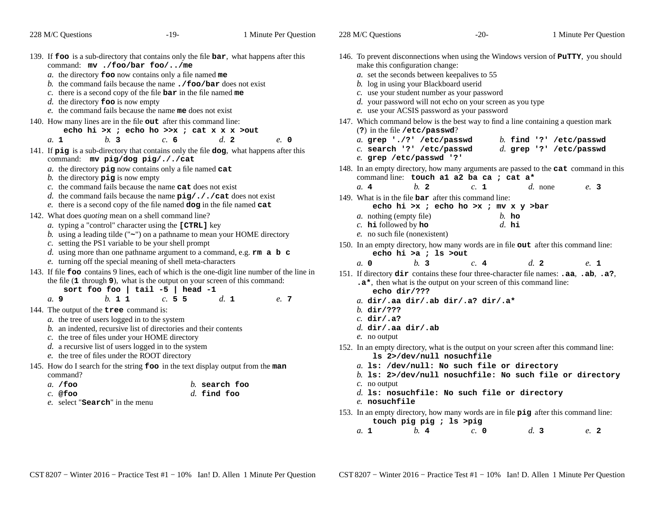| 228 M/C Questions                                                                                                                                                                                                                                                                        | $-19-$                                                                                                                                                                                                                                                                                                                                                      | 1 Minute Per Question                                                                                        | 228 M/C Questions                                                                                                                                                                                                      | $-20-$                                                                                                          | 1 Minute Per Question                                                                                     |
|------------------------------------------------------------------------------------------------------------------------------------------------------------------------------------------------------------------------------------------------------------------------------------------|-------------------------------------------------------------------------------------------------------------------------------------------------------------------------------------------------------------------------------------------------------------------------------------------------------------------------------------------------------------|--------------------------------------------------------------------------------------------------------------|------------------------------------------------------------------------------------------------------------------------------------------------------------------------------------------------------------------------|-----------------------------------------------------------------------------------------------------------------|-----------------------------------------------------------------------------------------------------------|
| 139. If foo is a sub-directory that contains only the file bar, what happens after this<br>command: mv./foo/bar foo//me<br>d. the directory $\textbf{foo}$ is now empty                                                                                                                  | a. the directory <b>foo</b> now contains only a file named me<br>b. the command fails because the name $\cdot$ / foo/bar does not exist<br>c. there is a second copy of the file $bar$ in the file named me<br>e. the command fails because the name me does not exist                                                                                      |                                                                                                              | make this configuration change:<br>a. set the seconds between keepalives to 55<br>b. log in using your Blackboard userid<br>c. use your student number as your password<br>e. use your ACSIS password as your password | d. your password will not echo on your screen as you type                                                       | 146. To prevent disconnections when using the Windows version of PuTTY, you should                        |
| 140. How many lines are in the file out after this command line:                                                                                                                                                                                                                         | echo hi >x; echo ho >>x; cat x x x >out                                                                                                                                                                                                                                                                                                                     |                                                                                                              | 147. Which command below is the best way to find a line containing a question mark<br>(?) in the file /etc/passwd?                                                                                                     |                                                                                                                 |                                                                                                           |
| b.3<br>a. 1<br>141. If pig is a sub-directory that contains only the file dog, what happens after this<br>command: mv pig/dog pig/././cat                                                                                                                                                | c. 6                                                                                                                                                                                                                                                                                                                                                        | d.2<br>e. 0                                                                                                  | a. grep './?' /etc/passwd<br>c. search '?' /etc/passwd<br>e. grep /etc/passwd '?'                                                                                                                                      |                                                                                                                 | b. find $'$ ?' /etc/passwd<br>d. grep $\cdot$ ?' /etc/passwd                                              |
| b. the directory $\vec{p}$ is now empty<br>142. What does <i>quoting</i> mean on a shell command line?                                                                                                                                                                                   | $a$ . the directory $\pi$ ig now contains only a file named cat<br>c. the command fails because the name <b>cat</b> does not exist<br>d. the command fails because the name $\pi g / \pi / \pi a t$ does not exist<br>$e$ . there is a second copy of the file named $d$ og in the file named $cat$<br>a. typing a "control" character using the [CTRL] key |                                                                                                              | $b$ . 2<br>a.4<br>149. What is in the file $bar$ after this command line:<br><i>a</i> . nothing (empty file)<br>$c.$ hi followed by ho                                                                                 | command line: touch al a2 ba ca ; cat a*<br>c. 1<br>echo hi >x ; echo ho >x ; mv x y >bar<br>$b.$ ho<br>$d.$ hi | 148. In an empty directory, how many arguments are passed to the cat command in this<br>$d.$ none<br>e. 3 |
| b. using a leading tilde (" $\sim$ ") on a pathname to mean your HOME directory<br>c. setting the PS1 variable to be your shell prompt<br>d. using more than one pathname argument to a command, e.g. $rm \, a \, b \, c$<br>e. turning off the special meaning of shell meta-characters |                                                                                                                                                                                                                                                                                                                                                             |                                                                                                              | e. no such file (nonexistent)<br>150. In an empty directory, how many words are in file out after this command line:<br>echo hi >a ; ls >out<br>$h1$ 3<br>a, 0                                                         | c.4                                                                                                             | d.2<br>e. 1                                                                                               |
| b. 1 1<br>a. 9                                                                                                                                                                                                                                                                           | the file $(1$ through $9$ ), what is the output on your screen of this command:<br>sort foo foo   tail $-5$   head $-1$<br>c.55                                                                                                                                                                                                                             | 143. If file foo contains 9 lines, each of which is the one-digit line number of the line in<br>d. 1<br>e. 7 | echo dir/???                                                                                                                                                                                                           | .a*, then what is the output on your screen of this command line:<br>$a.$ dir/.aa dir/.ab dir/.a? dir/.a*       | 151. If directory dir contains these four three-character file names: .aa, .ab, .a?,                      |
| 144. The output of the tree command is:<br>a. the tree of users logged in to the system<br>c. the tree of files under your HOME directory<br>$d.$ a recursive list of users logged in to the system<br>e. the tree of files under the ROOT directory                                     | b. an indented, recursive list of directories and their contents                                                                                                                                                                                                                                                                                            |                                                                                                              | $b.$ dir/???<br>$c.$ dir/.a?<br>$d.$ dir/.aa dir/.ab<br>$e$ . no output<br>152. In an empty directory, what is the output on your screen after this command line:<br>1s 2>/dev/null nosuchfile                         |                                                                                                                 |                                                                                                           |
| 145. How do I search for the string foo in the text display output from the man<br>command?<br>$a. /$ foo<br>$c.$ @foo<br>e. select " <b>Search</b> " in the menu                                                                                                                        |                                                                                                                                                                                                                                                                                                                                                             | $b.$ search foo<br>$d.$ find foo                                                                             | $c$ . no output<br>e. nosuchfile<br>153. In an empty directory, how many words are in file pig after this command line:                                                                                                | a. 1s: /dev/null: No such file or directory<br>$d.$ ls: nosuchfile: No such file or directory                   | $b$ . 1s: 2>/dev/null nosuchfile: No such file or directory                                               |
|                                                                                                                                                                                                                                                                                          |                                                                                                                                                                                                                                                                                                                                                             |                                                                                                              | touch pig pig ; ls >pig                                                                                                                                                                                                |                                                                                                                 |                                                                                                           |

 *b.* **<sup>4</sup>** *c.* **<sup>0</sup>** *d.* **<sup>3</sup>** *e.* **<sup>2</sup>** *a.* **<sup>1</sup>**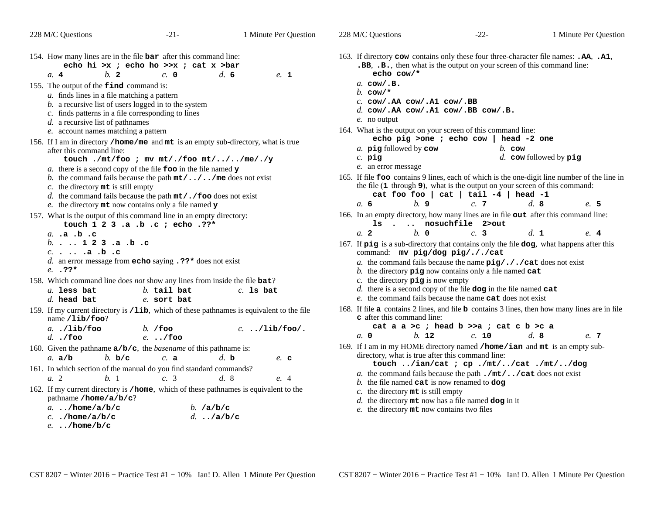| 228 M/C Questions                                                                                                                                                                                                                                                                                                                                                                    | $-21-$                                                                                                                                                                                                                                                                                                                                                     | 1 Minute Per Question | 228 M/C Questions                                                                                                                                              | $-22-$                                                                                                                                                                                                                                | 1 Minute Per Question                                                                                                                               |
|--------------------------------------------------------------------------------------------------------------------------------------------------------------------------------------------------------------------------------------------------------------------------------------------------------------------------------------------------------------------------------------|------------------------------------------------------------------------------------------------------------------------------------------------------------------------------------------------------------------------------------------------------------------------------------------------------------------------------------------------------------|-----------------------|----------------------------------------------------------------------------------------------------------------------------------------------------------------|---------------------------------------------------------------------------------------------------------------------------------------------------------------------------------------------------------------------------------------|-----------------------------------------------------------------------------------------------------------------------------------------------------|
| 154. How many lines are in the file <b>bar</b> after this command line:<br>b.2<br>a.4<br>155. The output of the <b>find</b> command is:<br>a. finds lines in a file matching a pattern<br>$b$ . a recursive list of users logged in to the system<br>c. finds patterns in a file corresponding to lines<br>$d.$ a recursive list of pathnames<br>e. account names matching a pattern | echo hi >x ; echo ho >>x ; cat x >bar<br>$c. \; 0$                                                                                                                                                                                                                                                                                                         | $d_{\rm c}$ 6<br>e. 1 | echo cow/*<br>$a.$ cow/.B.<br>$b.$ cow/*<br>$c.$ COW/. AA COW/. A1 COW/. BB<br>$e$ . no output<br>164. What is the output on your screen of this command line: | .BB, .B., then what is the output on your screen of this command line:<br>d. $\texttt{cow/.AA}$ $\texttt{cow/.A1}$ $\texttt{cow/.BB}$ $\texttt{cow/.B.}$                                                                              | 163. If directory cow contains only these four three-character file names: .AA, .A1,                                                                |
| 156. If I am in directory /home/me and mt is an empty sub-directory, what is true<br>after this command line:<br>c. the directory $m_t$ is still empty                                                                                                                                                                                                                               | touch ./mt/foo ; mv mt/./foo mt///me/./y<br>a. there is a second copy of the file $\mathbf{f}$ too in the file named $\mathbf{y}$<br>b. the command fails because the path $m t / \ldots / \ldots$ /me does not exist<br>d. the command fails because the path $m t / .$ / foo does not exist<br>e. the directory $m$ t now contains only a file named $y$ |                       | a. pig followed by cow<br>$c.$ pig<br>e. an error message<br>b.9<br>a. 6                                                                                       | echo pig >one ; echo cow   head -2 one<br>$b$ . cow<br>the file (1 through 9), what is the output on your screen of this command:<br>cat foo foo   cat   tail $-4$   head $-1$<br>c.7                                                 | $d.$ cow followed by $\pi$ ig<br>165. If file <b>foo</b> contains 9 lines, each of which is the one-digit line number of the line in<br>d.8<br>e. 5 |
| 157. What is the output of this command line in an empty directory:<br>a. .a .b .c<br>$b.$ 123.a.b.c<br>$c. \ldots .a. b. c$<br>$e. 37*$                                                                                                                                                                                                                                             | touch 1 2 3 .a .b .c ; echo .??*<br>d. an error message from echo saying $.22*$ does not exist                                                                                                                                                                                                                                                             |                       | 166. In an empty directory, how many lines are in file out after this command line:<br>$b. \, o$<br>a. 2                                                       | 1s. nosuchfile 2>out<br>c.3<br>command: mv pig/dog pig/././cat<br>a. the command fails because the name $\pi y / \pi / \pi$ cat does not exist<br>b. the directory $\pi$ ig now contains only a file named cat                        | $d_{\mathbf{1}}$<br>e.4<br>167. If pig is a sub-directory that contains only the file dog, what happens after this                                  |
| 158. Which command line does <i>not</i> show any lines from inside the file <b>bat</b> ?<br>a. less bat<br>$d.$ head bat                                                                                                                                                                                                                                                             | $b$ . tail bat<br>e. sort bat                                                                                                                                                                                                                                                                                                                              | $c.$ Is bat           | c. the directory $\vec{p}$ is now empty                                                                                                                        | $d.$ there is a second copy of the file dog in the file named cat<br>e. the command fails because the name <b>cat</b> does not exist                                                                                                  |                                                                                                                                                     |
| 159. If my current directory is /1ib, which of these pathnames is equivalent to the file<br>name $/lib/foo?$<br>$a.$ ./lib/foo<br>$d.$ ./foo                                                                                                                                                                                                                                         | $b.$ /foo<br>$e.$ /foo                                                                                                                                                                                                                                                                                                                                     | $c.$ /lib/foo/.       | c after this command line:<br>a, 0<br>$b.$ 12                                                                                                                  | cat a a >c; head $b \gg a$ ; cat c $b \gt c a$<br>c. 10                                                                                                                                                                               | 168. If file a contains 2 lines, and file b contains 3 lines, then how many lines are in file<br>d.8<br>e. 7                                        |
| 160. Given the pathname $a/b/c$ , the <i>basename</i> of this pathname is:<br>b. b/c<br>a. $a/b$                                                                                                                                                                                                                                                                                     | c. a                                                                                                                                                                                                                                                                                                                                                       | $d.$ b<br>$e$ . c     | 169. If I am in my HOME directory named /home/ian and mt is an empty sub-                                                                                      | directory, what is true after this command line:<br>touch /ian/cat ; cp ./mt//cat ./mt//dog                                                                                                                                           |                                                                                                                                                     |
| 161. In which section of the manual do you find standard commands?<br>a. 2<br>b.1<br>162. If my current directory is /home, which of these pathnames is equivalent to the<br>pathname /home/a/b/c?<br>$a.$ /home/a/b/c<br>$c.$ ./home/a/b/c<br>e/home/b/c                                                                                                                            | c. 3<br>b. $/a/b/c$<br>$d.$ ./a/b/c                                                                                                                                                                                                                                                                                                                        | d.8<br>e. 4           | c. the directory $m$ t is still empty<br>e. the directory mt now contains two files                                                                            | a. the command fails because the path $\cdot$ / $\text{mt}/\cdot \cdot$ / $\text{cat}$ does not exist<br>b. the file named $\texttt{cat}$ is now renamed to $\texttt{dog}$<br>$d.$ the directory $m$ t now has a file named dog in it |                                                                                                                                                     |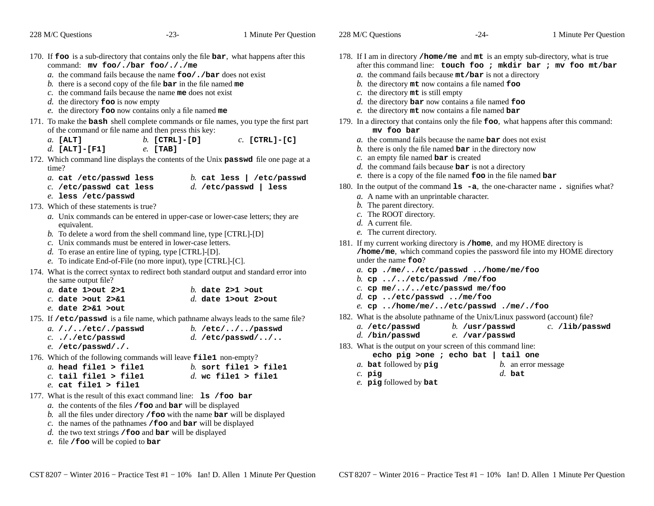228 M/C Questions

228 M/C Questions $-23-$  1 Minute Per Question 170. If **foo** is a sub-directory that contains only the file **bar**, what happens after this command: **mv foo/./bar foo/././me** *a.* the command fails because the name **foo/./bar** does not exist *b.* there is a second copy of the file **bar** in the file named **me** *c.* the command fails because the name **me** does not exist *d.* the directory **foo** is now empty *e.* the directory **foo** now contains only a file named **me** 171. To make the **bash** shell complete commands or file names, you type the first part of the command or file name and then press this key:*a.* **[ALT]** *b.* **[CTRL]-[D]** *c.* **[CTRL]-[C]** *d.* **[ALT]-[F1]** *e.* **[TAB]** 172. Which command line displays the contents of the Unix **passwd** file one page at a time? *a.* **cat /etc/passwd less** *b.* **cat less | /etc/passwd** *c.* **/etc/passwd cat less** *d.* **/etc/passwd | less** *e.* **less /etc/passwd** 173. Which of these statements is true? *a.* Unix commands can be entered in upper-case or lower-case letters; they areequivalent. *b.* To delete a word from the shell command line, type [CTRL]-[D]*c.* Unix commands must be entered in lower-case letters. *d.* To erase an entire line of typing, type [CTRL]-[D]. *e.* To indicate End-of-File (no more input), type [CTRL]-[C]. 174. What is the correct syntax to redirect both standard output and standard error intothe same output file? *a.* **date 1>out 2>1** *b.* **date 2>1 >out** *c.* **date >out 2>&1** *d.* **date 1>out 2>out** *e.* **date 2>&1 >out** 175. If **/etc/passwd** is a file name, which pathname always leads to the same file? *a.***/./../etc/./passwd**

| a. $/$ . $/$ /etc/./passwd | b. $/etc/$ $/$ $/$ passwd |
|----------------------------|---------------------------|
| $c.$ ././etc/passwd        | d. /etc/passwd//          |
| $e.$ /etc/passwd/./.       |                           |

176. Which of the following commands will leave **file1** non-empty?

| a. head file1 > file1 | b. sort file1 > file1 |  |  |
|-----------------------|-----------------------|--|--|
| .                     | ----<br>--- -         |  |  |

- *c.* **tail file1 > file1** *d.* **wc file1 > file1**
	- *e.* **cat file1 > file1**
- 177. What is the result of this exact command line: **ls /foo bar**
	- *a.* the contents of the files **/foo** and **bar** will be displayed
	- *b.* all the files under directory **/foo** with the name **bar** will be displayed
	- *c.* the names of the pathnames **/foo** and **bar** will be displayed
	- *d.* the two text strings **/foo** and **bar** will be displayed
	- *e.* file **/foo** will be copied to **bar**
- 178. If <sup>I</sup> am in directory **/home/me** and **mt** is an empty sub-directory, what is true after this command line: **touch foo ; mkdir bar ; mv foo mt/bar**
	- *a.* the command fails because **mt/bar** is not a directory
	- *b.* the directory **mt** now contains a file named **foo**
	- *c.* the directory **mt** is still empty
	- *d.* the directory **bar** now contains a file named **foo**
	- *e.* the directory **mt** now contains a file named **bar**
- 179. In <sup>a</sup> directory that contains only the file **foo**, what happens after this command: **mv foo bar**
	- *a.* the command fails because the name **bar** does not exist
	- *b.* there is only the file named **bar** in the directory now
	- *c.* an empty file named **bar** is created
	- *d.* the command fails because **bar** is not a directory
	- *e.* there is a copy of the file named **foo** in the file named **bar**
- 180. In the output of the command **ls -a**, the one-character name **.** signifies what?
	- *a.* A name with an unprintable character.
	- *b.* The parent directory.
	- *c.* The ROOT directory.
	- *d.* A current file.
	- *e.* The current directory.
- 181. If my current working directory is **/home**, and my HOME directory is **/home/me**, which command copies the password file into my HOME directoryunder the name **foo**?
	- *a.* **cp ./me/../etc/passwd ../home/me/foo**
	- *b.* **cp ../../etc/passwd /me/foo**
	- *c.* **cp me/../../etc/passwd me/foo**
	- *d.* **cp ../etc/passwd ../me/foo**
	- *e.* **cp ../home/me/../etc/passwd ./me/./foo**
- 182. What is the absolute pathname of the Unix/Linux password (account) file?
	- $c.$  /lib/passwd *a.* **/etc/passwd***b.* **/usr/passwd** *c.* **/lib/passwd**
	- *d.* **/bin/passwd***e.* **/var/passwd**
- 183. What is the output on your screen of this command line: **echo pig >one ; echo bat | tail one**
	- *a.* **bat**
		- **t** followed by **pig** *b.* an error message *d.* **bat**
	- *c.* **pig***e.* **pig** followed by **bat**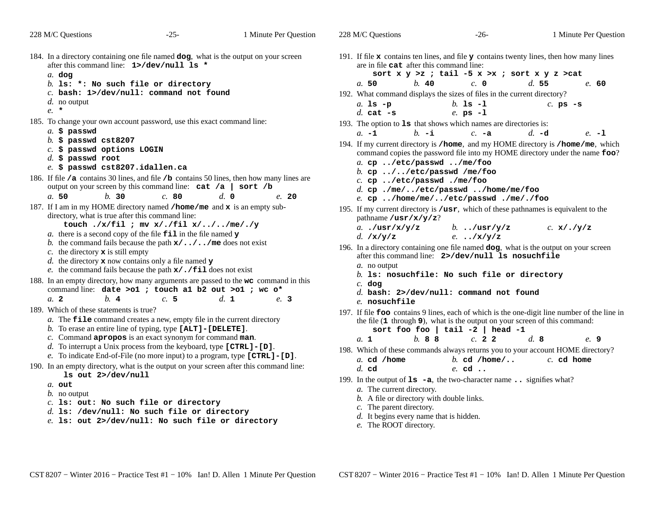| 228 M/C Questions                                                                                                                                                                                                                                                                                                                                                                                                                                                                                                                                                                                                                                                                                                                                                                                                                                                               | -25-                                                                                                                                                                                                                                                                                                                                                                                                                                                                                                                                                                                                                                                                                                                                                                                                                                                                                                                                     | 1 Minute Per Question                             | 228 M/C Questions                                                                                                                                                                                                                                                                                                                                                                                                                                                                                        | -26-                                                                                                                                                                                                                                                                                                                                                                                                                                                                                                                                                                                                                                                                                                                                                                                                                                                                                                                                                                                                                                                | 1 Minute Per Question                                                                                                                                                                      |
|---------------------------------------------------------------------------------------------------------------------------------------------------------------------------------------------------------------------------------------------------------------------------------------------------------------------------------------------------------------------------------------------------------------------------------------------------------------------------------------------------------------------------------------------------------------------------------------------------------------------------------------------------------------------------------------------------------------------------------------------------------------------------------------------------------------------------------------------------------------------------------|------------------------------------------------------------------------------------------------------------------------------------------------------------------------------------------------------------------------------------------------------------------------------------------------------------------------------------------------------------------------------------------------------------------------------------------------------------------------------------------------------------------------------------------------------------------------------------------------------------------------------------------------------------------------------------------------------------------------------------------------------------------------------------------------------------------------------------------------------------------------------------------------------------------------------------------|---------------------------------------------------|----------------------------------------------------------------------------------------------------------------------------------------------------------------------------------------------------------------------------------------------------------------------------------------------------------------------------------------------------------------------------------------------------------------------------------------------------------------------------------------------------------|-----------------------------------------------------------------------------------------------------------------------------------------------------------------------------------------------------------------------------------------------------------------------------------------------------------------------------------------------------------------------------------------------------------------------------------------------------------------------------------------------------------------------------------------------------------------------------------------------------------------------------------------------------------------------------------------------------------------------------------------------------------------------------------------------------------------------------------------------------------------------------------------------------------------------------------------------------------------------------------------------------------------------------------------------------|--------------------------------------------------------------------------------------------------------------------------------------------------------------------------------------------|
| 184. In a directory containing one file named dog, what is the output on your screen<br>after this command line: 1>/dev/null 1s *<br>$a.$ dog<br>b. Is: $*$ : No such file or directory                                                                                                                                                                                                                                                                                                                                                                                                                                                                                                                                                                                                                                                                                         |                                                                                                                                                                                                                                                                                                                                                                                                                                                                                                                                                                                                                                                                                                                                                                                                                                                                                                                                          |                                                   | are in file cat after this command line:<br>b. 40<br>a.50                                                                                                                                                                                                                                                                                                                                                                                                                                                | 191. If file $x$ contains ten lines, and file $y$ contains twenty lines, then how many lines<br>sort $x y > z$ ; tail -5 $x > x$ ; sort $x y z > cat$<br>c. 0                                                                                                                                                                                                                                                                                                                                                                                                                                                                                                                                                                                                                                                                                                                                                                                                                                                                                       | d.55<br>e. 60                                                                                                                                                                              |
| d. no output<br>$e. *$                                                                                                                                                                                                                                                                                                                                                                                                                                                                                                                                                                                                                                                                                                                                                                                                                                                          | $c.$ bash: 1>/dev/null: command not found                                                                                                                                                                                                                                                                                                                                                                                                                                                                                                                                                                                                                                                                                                                                                                                                                                                                                                |                                                   | $a.$ 1s $-p$                                                                                                                                                                                                                                                                                                                                                                                                                                                                                             | 192. What command displays the sizes of files in the current directory?<br>$b.$ 1s $-1$                                                                                                                                                                                                                                                                                                                                                                                                                                                                                                                                                                                                                                                                                                                                                                                                                                                                                                                                                             | $c.$ ps $-S$                                                                                                                                                                               |
| 185. To change your own account password, use this exact command line:<br>$a.$ \$ passwd<br>$b.$ \$ passwd cst8207<br>$c.$ \$ passwd options LOGIN<br>$d.$ \$ passwd root<br>$e.$ \$ passwd cst8207.idallen.ca<br>186. If file / <b>a</b> contains 30 lines, and file / <b>b</b> contains 50 lines, then how many lines are<br>a.50<br>b.30<br>187. If I am in my HOME directory named /home/me and x is an empty sub-<br>directory, what is true after this command line:<br>c. the directory $x$ is still empty<br>d. the directory $x$ now contains only a file named $y$<br>188. In an empty directory, how many arguments are passed to the wc command in this<br>b.4<br>a. 2<br>189. Which of these statements is true?<br>190. In an empty directory, what is the output on your screen after this command line:<br>1s out 2>/dev/null<br>a. out<br><i>b</i> . no output | output on your screen by this command line: $cat /a$<br>c.80<br>touch ./x/fil ; mv x/./fil x///me/./y<br>a. there is a second copy of the file $\pm i \mathbf{1}$ in the file named $\mathbf y$<br>b. the command fails because the path $x /  / $ me does not exist<br>e. the command fails because the path $x/$ . / fill does not exist<br>command line: date >o1 ; touch a1 b2 out >o1 ; wc o*<br>c.5<br>$a$ . The $\text{file}$ command creates a new, empty file in the current directory<br>b. To erase an entire line of typing, type [ALT] - [DELETE].<br>c. Command apropos is an exact synonym for command man.<br>d. To interrupt a Unix process from the keyboard, type $[CFRL] - [D]$ .<br>e. To indicate End-of-File (no more input) to a program, type $[CTRL] - [D]$ .<br>$c.$ ls: out: No such file or directory<br>$d.$ ls: /dev/null: No such file or directory<br>e. 1s: out 2>/dev/null: No such file or directory | sort /b<br>$d. \, \circ$<br>e. 20<br>d. 1<br>e. 3 | d. cat $-s$<br>$h - i$<br>$a. -1$<br>a. cp /etc/passwd /me/foo<br>b. cp $\ldots$ //etc/passwd /me/foo<br>$c.$ cp /etc/passwd ./me/foo<br>pathname $/\text{usr}/\textbf{x}/\textbf{y}/\textbf{z}$ ?<br>a $/usr/x/y/z$<br>d. $/x/y/z$<br>a. no output<br>$c.$ dog<br>e. nosuchfile<br>b. 88<br>a. 1<br>a. cd /home<br>$d.$ cd<br>a. The current directory.<br>b. A file or directory with double links.<br>c. The parent directory.<br>$d.$ It begins every name that is hidden.<br>e. The ROOT directory. | $e.$ ps $-1$<br>193. The option to 1s that shows which names are directories is:<br>$c. -a$<br>194. If my current directory is /home, and my HOME directory is /home/me, which<br>command copies the password file into my HOME directory under the name foo?<br>$d.$ cp ./me//etc/passwd /home/me/foo<br>e. cp /home/me//etc/passwd ./me/./foo<br>195. If my current directory is /usr, which of these pathnames is equivalent to the<br>b/usr/y/z<br>$e.$ /x/y/z<br>196. In a directory containing one file named dog, what is the output on your screen<br>after this command line: 2>/dev/null ls nosuchfile<br>b. Is: nosuchfile: No such file or directory<br>d. bash: $2$ >/dev/null: command not found<br>the file (1 through 9), what is the output on your screen of this command:<br>sort foo foo   tail $-2$   head $-1$<br>c. 22<br>198. Which of these commands always returns you to your account HOME directory?<br>$b.$ cd /home/<br>$e.$ cd $\ldots$<br>199. In the output of $1s - a$ , the two-character name . signifies what? | $d. -d$<br>$e. -1$<br>$c. \mathbf{x}/\mathbf{y}/\mathbf{z}$<br>197. If file foo contains 9 lines, each of which is the one-digit line number of the line in<br>d.8<br>e. 9<br>$c.$ cd home |
|                                                                                                                                                                                                                                                                                                                                                                                                                                                                                                                                                                                                                                                                                                                                                                                                                                                                                 |                                                                                                                                                                                                                                                                                                                                                                                                                                                                                                                                                                                                                                                                                                                                                                                                                                                                                                                                          |                                                   |                                                                                                                                                                                                                                                                                                                                                                                                                                                                                                          |                                                                                                                                                                                                                                                                                                                                                                                                                                                                                                                                                                                                                                                                                                                                                                                                                                                                                                                                                                                                                                                     |                                                                                                                                                                                            |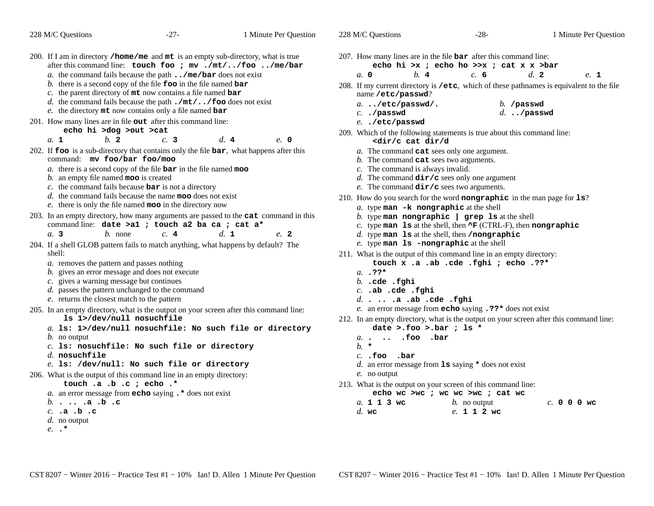|                                                                                                                                                | 228 M/C Questions                                                                                                                                                                                                                                                                                                                                                      | $-27-$               | 1 Minute Per Question                                                                                       | 228 M/C Questions                                                                                                                                                                                                                                                                                                                | $-28-$                                | 1 Minute Per Question |  |
|------------------------------------------------------------------------------------------------------------------------------------------------|------------------------------------------------------------------------------------------------------------------------------------------------------------------------------------------------------------------------------------------------------------------------------------------------------------------------------------------------------------------------|----------------------|-------------------------------------------------------------------------------------------------------------|----------------------------------------------------------------------------------------------------------------------------------------------------------------------------------------------------------------------------------------------------------------------------------------------------------------------------------|---------------------------------------|-----------------------|--|
| 200. If I am in directory /home/me and mt is an empty sub-directory, what is true<br>after this command line: touch foo ; mv ./mt//foo /me/bar |                                                                                                                                                                                                                                                                                                                                                                        |                      | 207. How many lines are in the file $bar$ after this command line:<br>echo hi >x; echo ho >>x; cat x x >bar |                                                                                                                                                                                                                                                                                                                                  |                                       |                       |  |
|                                                                                                                                                | a. the command fails because the path $\ldots$ /me/bar does not exist                                                                                                                                                                                                                                                                                                  |                      |                                                                                                             | $h$ 4<br>a, 0                                                                                                                                                                                                                                                                                                                    | c. 6                                  | d.2<br>e. 1           |  |
|                                                                                                                                                | b. there is a second copy of the file $\bf{foo}$ in the file named $\bf{bar}$<br>c. the parent directory of $m$ t now contains a file named bar                                                                                                                                                                                                                        |                      |                                                                                                             | 208. If my current directory is /etc, which of these pathnames is equivalent to the file<br>name /etc/passwd?                                                                                                                                                                                                                    |                                       |                       |  |
|                                                                                                                                                | d. the command fails because the path $\cdot/\text{mt}/\cdot \cdot$ / foo does not exist<br>e. the directory $m$ t now contains only a file named bar                                                                                                                                                                                                                  |                      |                                                                                                             | $a.$ /etc/passwd/.                                                                                                                                                                                                                                                                                                               | $b.$ /passwd                          |                       |  |
|                                                                                                                                                | 201. How many lines are in file out after this command line:                                                                                                                                                                                                                                                                                                           |                      |                                                                                                             | $c.$ ./passwd                                                                                                                                                                                                                                                                                                                    | $d.$ /passwd                          |                       |  |
|                                                                                                                                                | echo hi >dog >out >cat                                                                                                                                                                                                                                                                                                                                                 |                      |                                                                                                             | e/etc/passwd                                                                                                                                                                                                                                                                                                                     |                                       |                       |  |
|                                                                                                                                                | $b$ 2<br>a. 1                                                                                                                                                                                                                                                                                                                                                          | d.4<br>c.3           | e. 0                                                                                                        | 209. Which of the following statements is true about this command line:<br><dir c="" cat="" d<="" dir="" td=""><td></td><td></td></dir>                                                                                                                                                                                          |                                       |                       |  |
|                                                                                                                                                | 202. If foo is a sub-directory that contains only the file bar, what happens after this<br>command: mv foo/bar foo/moo<br>a. there is a second copy of the file $bar$ in the file named moo<br>$b$ . an empty file named <b>moo</b> is created<br>c. the command fails because $bar$ is not a directory<br>$d$ , the command fails because the name moo does not exist |                      |                                                                                                             | a. The command cat sees only one argument.<br>$b$ . The command cat sees two arguments.<br>$c$ . The command is always invalid.<br>d. The command $\text{dir}/\text{c}$ sees only one argument<br>e. The command $\text{dir}/c$ sees two arguments.<br>210. How do you search for the word nongraphic in the man page for $1s$ ? |                                       |                       |  |
|                                                                                                                                                | e. there is only the file named moo in the directory now                                                                                                                                                                                                                                                                                                               |                      |                                                                                                             | a. type man -k nongraphic at the shell                                                                                                                                                                                                                                                                                           |                                       |                       |  |
|                                                                                                                                                | 203. In an empty directory, how many arguments are passed to the cat command in this<br>command line: date >a1 ; touch a2 ba ca ; cat a*<br>$b$ . none<br>a. 3                                                                                                                                                                                                         | c.4<br>$d_{\cdot}$ 1 | e. 2                                                                                                        | b. type man nongraphic $\vert$ grep 1s at the shell<br>c. type man 1s at the shell, then $\Delta F$ (CTRL-F), then nongraphic<br>$d.$ type man $1s$ at the shell, then /nongraphic                                                                                                                                               |                                       |                       |  |
|                                                                                                                                                | 204. If a shell GLOB pattern fails to match anything, what happens by default? The                                                                                                                                                                                                                                                                                     |                      |                                                                                                             | e. type man 1s -nongraphic at the shell                                                                                                                                                                                                                                                                                          |                                       |                       |  |
|                                                                                                                                                | shell:                                                                                                                                                                                                                                                                                                                                                                 |                      |                                                                                                             | 211. What is the output of this command line in an empty directory:                                                                                                                                                                                                                                                              |                                       |                       |  |
|                                                                                                                                                | a. removes the pattern and passes nothing                                                                                                                                                                                                                                                                                                                              |                      |                                                                                                             |                                                                                                                                                                                                                                                                                                                                  | touch x .a .ab .cde .fghi ; echo .??* |                       |  |
|                                                                                                                                                | b. gives an error message and does not execute<br>c. gives a warning message but continues                                                                                                                                                                                                                                                                             |                      |                                                                                                             | $a. 32*$                                                                                                                                                                                                                                                                                                                         |                                       |                       |  |
|                                                                                                                                                | d. passes the pattern unchanged to the command                                                                                                                                                                                                                                                                                                                         |                      |                                                                                                             | $b.$ .cde .fghi<br>$c.$ .ab .cde .fghi                                                                                                                                                                                                                                                                                           |                                       |                       |  |
|                                                                                                                                                | e. returns the closest match to the pattern                                                                                                                                                                                                                                                                                                                            |                      |                                                                                                             | $d. \ldots .a .ab .cde .fghi$                                                                                                                                                                                                                                                                                                    |                                       |                       |  |
|                                                                                                                                                | 205. In an empty directory, what is the output on your screen after this command line:                                                                                                                                                                                                                                                                                 |                      |                                                                                                             | e. an error message from echo saying . ??* does not exist                                                                                                                                                                                                                                                                        |                                       |                       |  |
|                                                                                                                                                | 1s 1>/dev/null nosuchfile                                                                                                                                                                                                                                                                                                                                              |                      |                                                                                                             | 212. In an empty directory, what is the output on your screen after this command line:                                                                                                                                                                                                                                           |                                       |                       |  |
|                                                                                                                                                | a. 1s: 1>/dev/null nosuchfile: No such file or directory                                                                                                                                                                                                                                                                                                               |                      |                                                                                                             | date >.foo >.bar ; ls *                                                                                                                                                                                                                                                                                                          |                                       |                       |  |
|                                                                                                                                                | <i>b</i> . no output                                                                                                                                                                                                                                                                                                                                                   |                      |                                                                                                             | a. foo .bar                                                                                                                                                                                                                                                                                                                      |                                       |                       |  |
|                                                                                                                                                | $c.$ ls: nosuchfile: No such file or directory                                                                                                                                                                                                                                                                                                                         |                      |                                                                                                             | $b.$ *                                                                                                                                                                                                                                                                                                                           |                                       |                       |  |
|                                                                                                                                                | $d.$ nosuchfile                                                                                                                                                                                                                                                                                                                                                        |                      |                                                                                                             | $c.$ . foo . bar                                                                                                                                                                                                                                                                                                                 |                                       |                       |  |
|                                                                                                                                                | e. 1s: /dev/null: No such file or directory                                                                                                                                                                                                                                                                                                                            |                      |                                                                                                             | d. an error message from $\text{ls}$ saying $\star$ does not exist                                                                                                                                                                                                                                                               |                                       |                       |  |
|                                                                                                                                                | 206. What is the output of this command line in an empty directory:                                                                                                                                                                                                                                                                                                    |                      |                                                                                                             | e. no output                                                                                                                                                                                                                                                                                                                     |                                       |                       |  |
|                                                                                                                                                | touch .a .b .c ; echo .*                                                                                                                                                                                                                                                                                                                                               |                      |                                                                                                             | 213. What is the output on your screen of this command line:                                                                                                                                                                                                                                                                     |                                       |                       |  |
|                                                                                                                                                | a. an error message from $echo$ saying $.*$ does not exist                                                                                                                                                                                                                                                                                                             |                      |                                                                                                             |                                                                                                                                                                                                                                                                                                                                  | echo wc >wc ; wc wc >wc ; cat wc      |                       |  |
|                                                                                                                                                | $b. \cdot \cdot \cdot \cdot a \cdot b \cdot c$<br>$c.$ .a.b.c                                                                                                                                                                                                                                                                                                          |                      |                                                                                                             | a. 1 1 3 wc<br>$d.$ wc                                                                                                                                                                                                                                                                                                           | $b$ . no output<br>e. 1 1 2 wc        | $c. 0 0 0$ wc         |  |
|                                                                                                                                                | d. no output                                                                                                                                                                                                                                                                                                                                                           |                      |                                                                                                             |                                                                                                                                                                                                                                                                                                                                  |                                       |                       |  |
|                                                                                                                                                | $e. \cdot$ *                                                                                                                                                                                                                                                                                                                                                           |                      |                                                                                                             |                                                                                                                                                                                                                                                                                                                                  |                                       |                       |  |
|                                                                                                                                                |                                                                                                                                                                                                                                                                                                                                                                        |                      |                                                                                                             |                                                                                                                                                                                                                                                                                                                                  |                                       |                       |  |